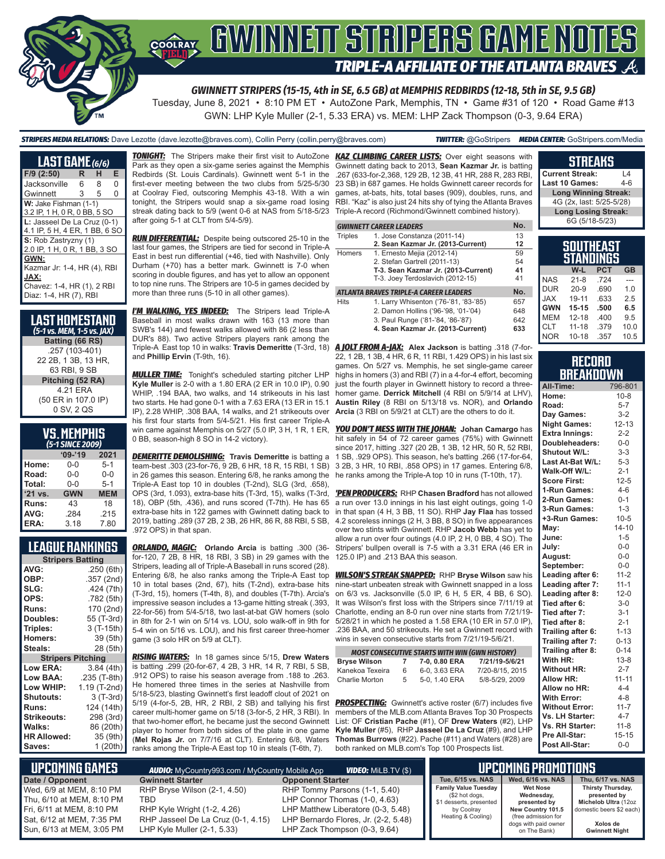

*GWINNETT STRIPERS (15-15, 4th in SE, 6.5 GB) at MEMPHIS REDBIRDS (12-18, 5th in SE, 9.5 GB)*

Tuesday, June 8, 2021 • 8:10 PM ET • AutoZone Park, Memphis, TN • Game #31 of 120 • Road Game #13 GWN: LHP Kyle Muller (2-1, 5.33 ERA) vs. MEM: LHP Zack Thompson (0-3, 9.64 ERA)

*STRIPERS MEDIA RELATIONS:* Dave Lezotte (dave.lezotte@braves.com), Collin Perry (collin.perry@braves.com) *TWITTER:* @GoStripers *MEDIA CENTER:* GoStripers.com/Media

#### **LAST GAME** *(6/6)* **F/9 (2:50) R H E** Jacksonville 6 Gwinnett 3 5 0 **W:** Jake Fishman (1-1) 3.2 IP, 1 H, 0 R, 0 BB, 5 SO **L:** Jasseel De La Cruz (0-1) 4.1 IP, 5 H, 4 ER, 1 BB, 6 SO **S:** Rob Zastryzny (1) 2.0 IP, 1 H, 0 R, 1 BB, 3 SO **GWN:** Kazmar Jr: 1-4, HR (4), RBI **JAX:** Chavez: 1-4, HR (1), 2 RBI Diaz: 1-4, HR (7), RBI

| <b>LAST HOMESTAND</b><br>(5-1 vs. MEM, 1-5 vs. JAX) |
|-----------------------------------------------------|
| Batting (66 RS)                                     |
| .257 (103-401)                                      |
| 22 2B, 1 3B, 13 HR,                                 |
| 63 RBI, 9 SB                                        |
| Pitching (52 RA)                                    |
| 4 21 FRA                                            |
| (50 ER in 107.0 IP)                                 |
| 0 SV, 2 QS                                          |

# **VS. MEMPHIS**

| (5-1 SINCE 2009)  |            |            |  |  |  |  |  |
|-------------------|------------|------------|--|--|--|--|--|
| $'09-'19$<br>2021 |            |            |  |  |  |  |  |
| Home:             | 0-0        | $5 - 1$    |  |  |  |  |  |
| Road:             | $0 - 0$    | $0 - 0$    |  |  |  |  |  |
| Total:            | $0 - 0$    | $5 - 1$    |  |  |  |  |  |
| '21 vs.           | <b>GWN</b> | <b>MEM</b> |  |  |  |  |  |
| Runs:             | 43         | 18         |  |  |  |  |  |
| AVG:              | .284       | .215       |  |  |  |  |  |
| ERA:              | 3.18       | 7.80       |  |  |  |  |  |

### **LEAGUE RANKINGS**

| <b>Stripers Batting</b>  |              |
|--------------------------|--------------|
| AVG:                     | .250 (6th)   |
| OBP:                     | .357 (2nd)   |
| SLG:                     | .424 (7th)   |
| OPS:                     | .782 (5th)   |
| <b>Runs:</b>             | 170 (2nd)    |
| Doubles:                 | 55 (T-3rd)   |
| Triples:                 | 3 (T-15th)   |
| <b>Homers:</b>           | 39 (5th)     |
| Steals:                  | 28 (5th)     |
| <b>Stripers Pitching</b> |              |
| <b>Low ERA:</b>          | 3.84(4th)    |
| <b>Low BAA:</b>          | .235 (T-8th) |
| Low WHIP:                | 1.19 (T-2nd) |
| <b>Shutouts:</b>         | $3(T-3rd)$   |
| Runs:                    | 124 (14th)   |
| Strikeouts:              | 298 (3rd)    |
| Walks:                   | 86 (20th)    |
| <b>HR Allowed:</b>       | 35 (9th)     |
| Saves:                   | 1 (20th)     |

**TONIGHT:** The Stripers make their first visit to AutoZone Park as they open a six-game series against the Memphis Redbirds (St. Louis Cardinals). Gwinnett went 5-1 in the first-ever meeting between the two clubs from 5/25-5/30 at Coolray Fied, outscoring Memphis 43-18. With a win tonight, the Stripers would snap a six-game road losing streak dating back to 5/9 (went 0-6 at NAS from 5/18-5/23 after going 5-1 at CLT from 5/4-5/9).

*RUN DIFFERENTIAL:* Despite being outscored 25-10 in the last four games, the Stripers are tied for second in Triple-A East in best run differential (+46, tied with Nashville). Only Durham (+70) has a better mark. Gwinnett is 7-0 when scoring in double figures, and has yet to allow an opponent to top nine runs. The Stripers are 10-5 in games decided by more than three runs (5-10 in all other games).

*I'M WALKING, YES INDEED:* The Stripers lead Triple-A Baseball in most walks drawn with 163 (13 more than SWB's 144) and fewest walks allowed with 86 (2 less than DUR's 88). Two active Stripers players rank among the and **Phillip Ervin** (T-9th, 16).

*MULLER TIME:* Tonight's scheduled starting pitcher LHP **Kyle Muller** is 2-0 with a 1.80 ERA (2 ER in 10.0 IP), 0.90 WHIP, .194 BAA, two walks, and 14 strikeouts in his last two starts. He had gone 0-1 with a 7.63 ERA (13 ER in 15.1 IP), 2.28 WHIP, .308 BAA, 14 walks, and 21 strikeouts over his first four starts from 5/4-5/21. His first career Triple-A win came against Memphis on 5/27 (5.0 IP, 3 H, 1 R, 1 ER, 0 BB, season-high 8 SO in 14-2 victory).

*DEMERITTE DEMOLISHING:* **Travis Demeritte** is batting a team-best .303 (23-for-76, 9 2B, 6 HR, 18 R, 15 RBI, 1 SB) in 26 games this season. Entering 6/8, he ranks among the Triple-A East top 10 in doubles (T-2nd), SLG (3rd, .658), OPS (3rd, 1.093), extra-base hits (T-3rd, 15), walks (T-3rd, 18), OBP (5th, .436), and runs scored (T-7th). He has 65 extra-base hits in 122 games with Gwinnett dating back to 2019, batting .289 (37 2B, 2 3B, 26 HR, 86 R, 88 RBI, 5 SB, .972 OPS) in that span.

*ORLANDO, MAGIC:* **Orlando Arcia** is batting .300 (36 for-120, 7 2B, 8 HR, 18 RBI, 3 SB) in 29 games with the Stripers, leading all of Triple-A Baseball in runs scored (28). Entering 6/8, he also ranks among the Triple-A East top 10 in total bases (2nd, 67), hits (T-2nd), extra-base hits (T-3rd, 15), homers (T-4th, 8), and doubles (T-7th). Arcia's impressive season includes a 13-game hitting streak (.393, 22-for-56) from 5/4-5/18, two last-at-bat GW homers (solo 5-4 win on 5/16 vs. LOU), and his first career three-homer game (3 solo HR on 5/9 at CLT).

*RISING WATERS:* In 18 games since 5/15, **Drew Waters** is batting .299 (20-for-67, 4 2B, 3 HR, 14 R, 7 RBI, 5 SB, .912 OPS) to raise his season average from .188 to .263. He homered three times in the series at Nashville from 5/18-5/23, blasting Gwinnett's first leadoff clout of 2021 on 5/19 (4-for-5, 2B, HR, 2 RBI, 2 SB) and tallying his first career multi-homer game on 5/18 (3-for-5, 2 HR, 3 RBI). In that two-homer effort, he became just the second Gwinnett player to homer from both sides of the plate in one game (**Mel Rojas Jr.** on 7/7/16 at CLT). Entering 6/8, Waters ranks among the Triple-A East top 10 in steals (T-6th, 7).

*KAZ CLIMBING CAREER LISTS:* Over eight seasons with Gwinnett dating back to 2013, **Sean Kazmar Jr.** is batting .267 (633-for-2,368, 129 2B, 12 3B, 41 HR, 288 R, 283 RBI, 23 SB) in 687 games. He holds Gwinnett career records for games, at-bats, hits, total bases (909), doubles, runs, and RBI. "Kaz" is also just 24 hits shy of tying the Atlanta Braves Triple-A record (Richmond/Gwinnett combined history).

|                | <b>GWINNETT CAREER LEADERS</b>         | No. |
|----------------|----------------------------------------|-----|
| <b>Triples</b> | 1. Jose Constanza (2011-14)            | 13  |
|                | 2. Sean Kazmar Jr. (2013-Current)      | 12  |
| Homers         | 1. Ernesto Mejia (2012-14)             | 59  |
|                | 2. Stefan Gartrell (2011-13)           | 54  |
|                | T-3. Sean Kazmar Jr. (2013-Current)    | 41  |
|                | T-3. Joey Terdoslavich (2012-15)       | 41  |
|                | ATLANTA BRAVES TRIPLE-A CAREER LEADERS | No. |
| <b>Hits</b>    | 1. Larry Whisenton ('76-'81, '83-'85)  | 657 |
|                | 2. Damon Hollins ('96-'98, '01-'04)    | 648 |
|                | 3. Paul Runge ('81-'84, '86-'87)       | 642 |
|                | 4. Sean Kazmar Jr. (2013-Current)      | 633 |

Triple-A East top 10 in walks: **Travis Demeritte** (T-3rd, 18) *A JOLT FROM A-JAX:* **Alex Jackson** is batting .318 (7-for-22, 1 2B, 1 3B, 4 HR, 6 R, 11 RBI, 1.429 OPS) in his last six games. On 5/27 vs. Memphis, he set single-game career highs in homers (3) and RBI (7) in a 4-for-4 effort, becoming just the fourth player in Gwinnett history to record a threehomer game. **Derrick Mitchell** (4 RBI on 5/9/14 at LHV), **Austin Riley** (8 RBI on 5/13/18 vs. NOR), and **Orlando Arcia** (3 RBI on 5/9/21 at CLT) are the others to do it.

> *YOU DON'T MESS WITH THE JOHAN:* **Johan Camargo** has hit safely in 54 of 72 career games (75%) with Gwinnett since 2017, hitting .327 (20 2B, 1 3B, 12 HR, 50 R, 52 RBI, 1 SB, .929 OPS). This season, he's batting .266 (17-for-64, 3 2B, 3 HR, 10 RBI, .858 OPS) in 17 games. Entering 6/8, he ranks among the Triple-A top 10 in runs (T-10th, 17).

> *'PEN PRODUCERS:* RHP **Chasen Bradford** has not allowed a run over 13.0 innings in his last eight outings, going 1-0 in that span (4 H, 3 BB, 11 SO). RHP **Jay Flaa** has tossed 4.2 scoreless innings (2 H, 3 BB, 8 SO) in five appearances over two stints with Gwinnett. RHP **Jacob Webb** has yet to allow a run over four outings (4.0 IP, 2 H, 0 BB, 4 SO). The Stripers' bullpen overall is 7-5 with a 3.31 ERA (46 ER in 125.0 IP) and .213 BAA this season.

in 8th for 2-1 win on 5/14 vs. LOU, solo walk-off in 9th for 5/28/21 in which he posted a 1.58 ERA (10 ER in 57.0 IP), *WILSON'S STREAK SNAPPED:* RHP **Bryse Wilson** saw his nine-start unbeaten streak with Gwinnett snapped in a loss on 6/3 vs. Jacksonville (5.0 IP, 6 H, 5 ER, 4 BB, 6 SO). It was Wilson's first loss with the Stripers since 7/11/19 at Charlotte, ending an 8-0 run over nine starts from 7/21/19- .236 BAA, and 50 strikeouts. He set a Gwinnett record with wins in seven consecutive starts from 7/21/19-5/6/21.

| <b>MOST CONSECUTIVE STARTS WITH WIN (GWN HISTORY)</b> |   |               |                 |  |  |  |  |
|-------------------------------------------------------|---|---------------|-----------------|--|--|--|--|
| <b>Brvse Wilson</b>                                   | 7 | 7-0, 0.80 ERA | 7/21/19-5/6/21  |  |  |  |  |
| Kanekoa Texeira                                       | 6 | 6-0, 3.63 ERA | 7/20-8/15, 2015 |  |  |  |  |
| Charlie Morton                                        | 5 | 5-0, 1.40 ERA | 5/8-5/29, 2009  |  |  |  |  |

**PROSPECTING:** Gwinnett's active roster (6/7) includes five members of the MLB.com Atlanta Braves Top 30 Prospects List: OF **Cristian Pache** (#1), OF **Drew Waters** (#2), LHP **Kyle Muller** (#5), RHP **Jasseel De La Cruz** (#9), and LHP **Thomas Burrows** (#22). Pache (#11) and Waters (#28) are both ranked on MLB.com's Top 100 Prospects list.

| Last 10 Games:                       | $4 - 6$ |
|--------------------------------------|---------|
| <b>Long Winning Streak:</b>          |         |
| 4G (2x, last: 5/25-5/28)             |         |
| <b>Long Losing Streak:</b>           |         |
| 6G (5/18-5/23)                       |         |
|                                      |         |
| <b>SOUTHEAST</b><br><b>STANDINGS</b> |         |
| PCT                                  |         |

**STREAKS Current Streak:** L4

|            | W-L       | <b>PCT</b> | <b>GB</b> |  |  |  |  |
|------------|-----------|------------|-----------|--|--|--|--|
| <b>NAS</b> | $21 - 8$  | .724       |           |  |  |  |  |
| <b>DUR</b> | $20 - 9$  | .690       | 1.0       |  |  |  |  |
| <b>JAX</b> | 19-11     | .633       | 2.5       |  |  |  |  |
| <b>GWN</b> | $15 - 15$ | .500       | 6.5       |  |  |  |  |
| <b>MEM</b> | $12 - 18$ | .400       | 9.5       |  |  |  |  |
| <b>CLT</b> | $11 - 18$ | .379       | 10.0      |  |  |  |  |
| <b>NOR</b> | $10 - 18$ | .357       | 10.5      |  |  |  |  |

#### **RECORD RRFAKNOWN**

| All-Time:              | 796-801   |
|------------------------|-----------|
| Home:                  | $10 - 8$  |
| Road:                  | $5 - 7$   |
| Day Games:             | $3-2$     |
| <b>Night Games:</b>    | $12 - 13$ |
| <b>Extra Innings:</b>  | $2 - 2$   |
| Doubleheaders:         | $0-0$     |
| <b>Shutout W/L:</b>    | $3 - 3$   |
| Last At-Bat W/L:       | $5 - 3$   |
| Walk-Off W/L:          | $2 - 1$   |
| <b>Score First:</b>    | $12 - 5$  |
| 1-Run Games:           | $4 - 6$   |
| 2-Run Games:           | $0 - 1$   |
| 3-Run Games:           | $1 - 3$   |
| +3-Run Games:          | $10 - 5$  |
| May:                   | $14 - 10$ |
| June:                  | $1 - 5$   |
| July:                  | $0-0$     |
| August:                | $0-0$     |
| September:             | $0-0$     |
| Leading after 6:       | $11 - 2$  |
| Leading after 7:       | $11 - 1$  |
| Leading after 8:       | $12 - 0$  |
| Tied after 6:          | $3-0$     |
| Tied after 7:          | $3 - 1$   |
| Tied after 8:          | $2 - 1$   |
| Trailing after 6:      | $1 - 13$  |
| Trailing after 7:      | $0 - 13$  |
| Trailing after 8:      | $0 - 14$  |
| With HR:               | $13 - 8$  |
| <b>Without HR:</b>     | $2 - 7$   |
| <b>Allow HR:</b>       | $11 - 11$ |
| Allow no HR:           | $4 - 4$   |
| <b>With Error:</b>     | $4 - 8$   |
| <b>Without Error:</b>  | $11 - 7$  |
| Vs. LH Starter:        | $4 - 7$   |
| <b>Vs. RH Starter:</b> | $11 - 8$  |
| Pre All-Star:          | $15 - 15$ |
| Post All-Star:         | $0 - 0$   |

| . UPCOMING GAMES '<br><b>AUDIO:</b> MyCountry993.com / MyCountry Mobile App<br><b>VIDEO:</b> Milb.TV (\$) |                                                                   |                                                                            |                                                                          | UPCOMING PROMOTIONS                           |                                                           |
|-----------------------------------------------------------------------------------------------------------|-------------------------------------------------------------------|----------------------------------------------------------------------------|--------------------------------------------------------------------------|-----------------------------------------------|-----------------------------------------------------------|
| Date / Opponent                                                                                           | <b>Gwinnett Starter</b>                                           | <b>Opponent Starter</b>                                                    | Tue. 6/15 vs. NAS                                                        | Wed. 6/16 vs. NAS                             | Thu. 6/17 vs. NAS                                         |
| Wed, 6/9 at MEM, 8:10 PM<br>Thu, 6/10 at MEM, 8:10 PM                                                     | RHP Bryse Wilson (2-1, 4.50)<br>TBD                               | RHP Tommy Parsons (1-1, 5.40)<br>LHP Connor Thomas (1-0, 4.63)             | <b>Family Value Tuesday</b><br>(\$2 hot dogs,<br>\$1 desserts, presented | <b>Wet Nose</b><br>Wednesdav.<br>presented by | Thirsty Thursday,<br>presented by<br>Michelob Ultra (12oz |
| Fri. 6/11 at MEM. 8:10 PM<br>Sat, 6/12 at MEM, 7:35 PM                                                    | RHP Kyle Wright (1-2, 4.26)<br>RHP Jasseel De La Cruz (0-1, 4.15) | LHP Matthew Liberatore (0-3, 5.48)<br>LHP Bernardo Flores, Jr. (2-2, 5.48) | by Coolray<br>Heating & Cooling)                                         | New Country 101.5<br>(free admission for      | domestic beers \$2 each)                                  |
| Sun, 6/13 at MEM, 3:05 PM                                                                                 | LHP Kyle Muller (2-1, 5.33)                                       | LHP Zack Thompson (0-3, 9.64)                                              |                                                                          | dogs with paid owner<br>on The Bank)          | Xolos de<br><b>Gwinnett Night</b>                         |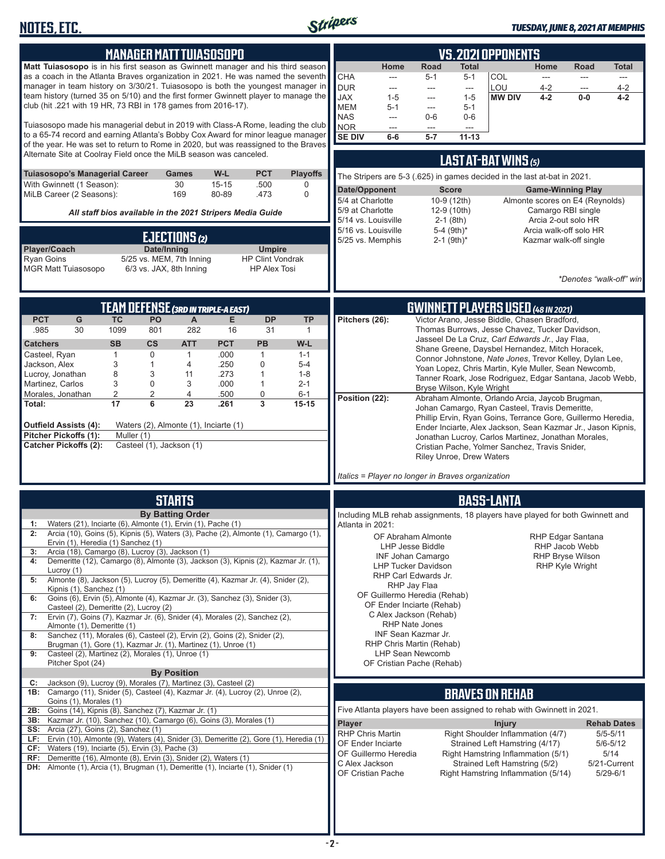

| <b>MANAGER MATT TUIASOSOPO</b>                                                                                                                                          | <b>VS. 2021 OPPONENTS</b>                                                                                                                                   |
|-------------------------------------------------------------------------------------------------------------------------------------------------------------------------|-------------------------------------------------------------------------------------------------------------------------------------------------------------|
| Matt Tuiasosopo is in his first season as Gwinnett manager and his third season                                                                                         | Home<br>Road<br>Total<br>Home<br>Road<br>Total                                                                                                              |
| as a coach in the Atlanta Braves organization in 2021. He was named the seventh<br>manager in team history on 3/30/21. Tuiasosopo is both the youngest manager in       | <b>CHA</b><br>COL<br>$5 - 1$<br>$5 - 1$<br>---<br>---<br>---<br>$---$<br><b>DUR</b><br>LOU<br>$4 - 2$<br>4-2<br>---<br>---<br>---<br>$\qquad \qquad \cdots$ |
| team history (turned 35 on 5/10) and the first former Gwinnett player to manage the                                                                                     | $4 - 2$<br><b>JAX</b><br>$1 - 5$<br><b>MW DIV</b><br>$0-0$<br>$4 - 2$<br>$1 - 5$<br>---                                                                     |
| club (hit .221 with 19 HR, 73 RBI in 178 games from 2016-17).                                                                                                           | <b>MEM</b><br>$5 - 1$<br>$5 - 1$<br>$\qquad \qquad \cdots$<br><b>NAS</b><br>$0 - 6$<br>$0-6$<br>---                                                         |
| Tuiasosopo made his managerial debut in 2019 with Class-A Rome, leading the club                                                                                        | <b>NOR</b><br>---<br>---<br>---                                                                                                                             |
| to a 65-74 record and earning Atlanta's Bobby Cox Award for minor league manager<br>of the year. He was set to return to Rome in 2020, but was reassigned to the Braves | <b>SE DIV</b><br>$5 - 7$<br>$11 - 13$<br>$6-6$                                                                                                              |
| Alternate Site at Coolray Field once the MiLB season was canceled.                                                                                                      | <b>LAST AT-BAT WINS (5)</b>                                                                                                                                 |
| Tuiasosopo's Managerial Career<br>W-L<br><b>PCT</b><br><b>Playoffs</b><br>Games                                                                                         | The Stripers are 5-3 (.625) in games decided in the last at-bat in 2021.                                                                                    |
| With Gwinnett (1 Season):<br>30<br>$15 - 15$<br>.500<br>0                                                                                                               | Date/Opponent<br><b>Score</b><br><b>Game-Winning Play</b>                                                                                                   |
| MiLB Career (2 Seasons):<br>169<br>80-89<br>.473<br>0                                                                                                                   | 5/4 at Charlotte<br>10-9 (12th)<br>Almonte scores on E4 (Reynolds)                                                                                          |
| All staff bios available in the 2021 Stripers Media Guide                                                                                                               | 5/9 at Charlotte<br>12-9 (10th)<br>Camargo RBI single<br>5/14 vs. Louisville<br>$2-1$ (8th)<br>Arcia 2-out solo HR                                          |
| EJECTIONS (2)                                                                                                                                                           | 5/16 vs. Louisville<br>5-4 $(9th)*$<br>Arcia walk-off solo HR                                                                                               |
| Player/Coach<br>Date/Inning<br><b>Umpire</b>                                                                                                                            | 5/25 vs. Memphis<br>$2-1$ (9th) <sup>*</sup><br>Kazmar walk-off single                                                                                      |
| <b>Ryan Goins</b><br>5/25 vs. MEM, 7th Inning<br><b>HP Clint Vondrak</b><br><b>MGR Matt Tuiasosopo</b><br>6/3 vs. JAX, 8th Inning<br><b>HP Alex Tosi</b>                |                                                                                                                                                             |
|                                                                                                                                                                         | *Denotes "walk-off" win                                                                                                                                     |
|                                                                                                                                                                         |                                                                                                                                                             |
| <b>TEAM DEFENSE (3RD IN TRIPLE-A EAST)</b>                                                                                                                              | <b>GWINNETT PLAYERS USED</b> (48 IN 2021)                                                                                                                   |
| <b>PCT</b><br>G<br><b>TC</b><br>PO<br><b>DP</b><br><b>TP</b><br>A<br>Е<br>30<br>1099<br>282<br>16<br>31<br>.985<br>801<br>1                                             | Pitchers (26):<br>Victor Arano, Jesse Biddle, Chasen Bradford,<br>Thomas Burrows, Jesse Chavez, Tucker Davidson,                                            |
| <b>SB</b><br>$\mathsf{cs}$<br><b>ATT</b><br><b>PCT</b><br><b>PB</b><br>W-L<br><b>Catchers</b>                                                                           | Jasseel De La Cruz, Carl Edwards Jr., Jay Flaa,                                                                                                             |
| $\mathbf{1}$<br>0<br>Casteel, Ryan<br>.000<br>1<br>$1 - 1$<br>1                                                                                                         | Shane Greene, Daysbel Hernandez, Mitch Horacek,<br>Connor Johnstone, Nate Jones, Trevor Kelley, Dylan Lee,                                                  |
| 3<br>.250<br>$\mathbf 0$<br>Jackson, Alex<br>$\mathbf{1}$<br>4<br>$5 - 4$<br>Lucroy, Jonathan<br>8<br>3<br>.273<br>11<br>$\mathbf{1}$<br>$1 - 8$                        | Yoan Lopez, Chris Martin, Kyle Muller, Sean Newcomb,                                                                                                        |
| Martinez, Carlos<br>3<br>0<br>.000<br>3<br>1<br>$2 - 1$                                                                                                                 | Tanner Roark, Jose Rodriguez, Edgar Santana, Jacob Webb,<br>Bryse Wilson, Kyle Wright                                                                       |
| 2<br>2<br>4<br>0<br>Morales, Jonathan<br>.500<br>$6 - 1$<br>$\overline{\mathbf{3}}$<br>6<br>23<br>17<br>.261<br>$15 - 15$<br>Total:                                     | Position (22):<br>Abraham Almonte, Orlando Arcia, Jaycob Brugman,<br>Johan Camargo, Ryan Casteel, Travis Demeritte,                                         |
|                                                                                                                                                                         | Phillip Ervin, Ryan Goins, Terrance Gore, Guillermo Heredia,                                                                                                |
| Waters (2), Almonte (1), Inciarte (1)<br>Outfield Assists (4):<br>Pitcher Pickoffs (1):<br>Muller (1)                                                                   | Ender Inciarte, Alex Jackson, Sean Kazmar Jr., Jason Kipnis,<br>Jonathan Lucroy, Carlos Martinez, Jonathan Morales,                                         |
| <b>Catcher Pickoffs (2):</b><br>Casteel (1), Jackson (1)                                                                                                                | Cristian Pache, Yolmer Sanchez, Travis Snider,                                                                                                              |
|                                                                                                                                                                         | <b>Riley Unroe, Drew Waters</b>                                                                                                                             |
|                                                                                                                                                                         | Italics = Player no longer in Braves organization                                                                                                           |
| <b>STARTS</b>                                                                                                                                                           | <b>BASS-LANTA</b>                                                                                                                                           |
| <b>By Batting Order</b>                                                                                                                                                 | Including MLB rehab assignments, 18 players have played for both Gwinnett and                                                                               |
| Waters (21), Inciarte (6), Almonte (1), Ervin (1), Pache (1)                                                                                                            | Atlanta in 2021:                                                                                                                                            |
| 2:<br>Arcia (10), Goins (5), Kipnis (5), Waters (3), Pache (2), Almonte (1), Camargo (1),<br>Ervin (1), Heredia (1) Sanchez (1)                                         | OF Abraham Almonte<br>RHP Edgar Santana<br>LHP Jesse Biddle<br>RHP Jacob Webb                                                                               |
| Arcia (18), Camargo (8), Lucroy (3), Jackson (1)<br>3:<br>Demeritte (12), Camargo (8), Almonte (3), Jackson (3), Kipnis (2), Kazmar Jr. (1),<br>4:                      | <b>RHP Bryse Wilson</b><br>INF Johan Camargo                                                                                                                |
| Lucroy (1)                                                                                                                                                              | <b>LHP Tucker Davidson</b><br><b>RHP Kyle Wright</b><br>RHP Carl Edwards Jr.                                                                                |
| Almonte (8), Jackson (5), Lucroy (5), Demeritte (4), Kazmar Jr. (4), Snider (2),<br>5:<br>Kipnis (1), Sanchez (1)                                                       | RHP Jay Flaa                                                                                                                                                |
| Goins (6), Ervin (5), Almonte (4), Kazmar Jr. (3), Sanchez (3), Snider (3),<br>6:<br>Casteel (2), Demeritte (2), Lucroy (2)                                             | OF Guillermo Heredia (Rehab)<br>OF Ender Inciarte (Rehab)                                                                                                   |
| Ervin (7), Goins (7), Kazmar Jr. (6), Snider (4), Morales (2), Sanchez (2),<br>7:                                                                                       | C Alex Jackson (Rehab)                                                                                                                                      |
| Almonte (1), Demeritte (1)<br>Sanchez (11), Morales (6), Casteel (2), Ervin (2), Goins (2), Snider (2),<br>8:                                                           | <b>RHP Nate Jones</b><br>INF Sean Kazmar Jr.                                                                                                                |
| Brugman (1), Gore (1), Kazmar Jr. (1), Martinez (1), Unroe (1)<br>Casteel (2), Martinez (2), Morales (1), Unroe (1)                                                     | RHP Chris Martin (Rehab)<br><b>LHP Sean Newcomb</b>                                                                                                         |
| 9:<br>Pitcher Spot (24)                                                                                                                                                 | OF Cristian Pache (Rehab)                                                                                                                                   |
| <b>By Position</b><br>Jackson (9), Lucroy (9), Morales (7), Martinez (3), Casteel (2)<br>C:                                                                             |                                                                                                                                                             |
| 1B: Camargo (11), Snider (5), Casteel (4), Kazmar Jr. (4), Lucroy (2), Unroe (2),                                                                                       | <b>BRAVES ON REHAB</b>                                                                                                                                      |
| Goins (1), Morales (1)<br>2B: Goins (14), Kipnis (8), Sanchez (7), Kazmar Jr. (1)                                                                                       | Five Atlanta players have been assigned to rehab with Gwinnett in 2021.                                                                                     |
| 3B: Kazmar Jr. (10), Sanchez (10), Camargo (6), Goins (3), Morales (1)<br><b>SS:</b> Arcia (27), Goins (2), Sanchez (1)                                                 | <b>Player</b><br><b>Injury</b><br><b>Rehab Dates</b>                                                                                                        |
| LF: Ervin (10), Almonte (9), Waters (4), Snider (3), Demeritte (2), Gore (1), Heredia (1)                                                                               | <b>RHP Chris Martin</b><br>Right Shoulder Inflammation (4/7)<br>$5/5 - 5/11$<br>OF Ender Inciarte<br>Strained Left Hamstring (4/17)<br>$5/6 - 5/12$         |
| $CF:$ Waters (19), Inciarte (5), Ervin (3), Pache (3)<br>RF: Demeritte (16), Almonte (8), Ervin (3), Snider (2), Waters (1)                                             | 5/14<br>OF Guillermo Heredia<br>Right Hamstring Inflammation (5/1)                                                                                          |
| DH: Almonte (1), Arcia (1), Brugman (1), Demeritte (1), Inciarte (1), Snider (1)                                                                                        | C Alex Jackson<br>Strained Left Hamstring (5/2)<br>5/21-Current<br>OF Cristian Pache<br>Right Hamstring Inflammation (5/14)<br>$5/29 - 6/1$                 |
|                                                                                                                                                                         |                                                                                                                                                             |
|                                                                                                                                                                         |                                                                                                                                                             |
|                                                                                                                                                                         |                                                                                                                                                             |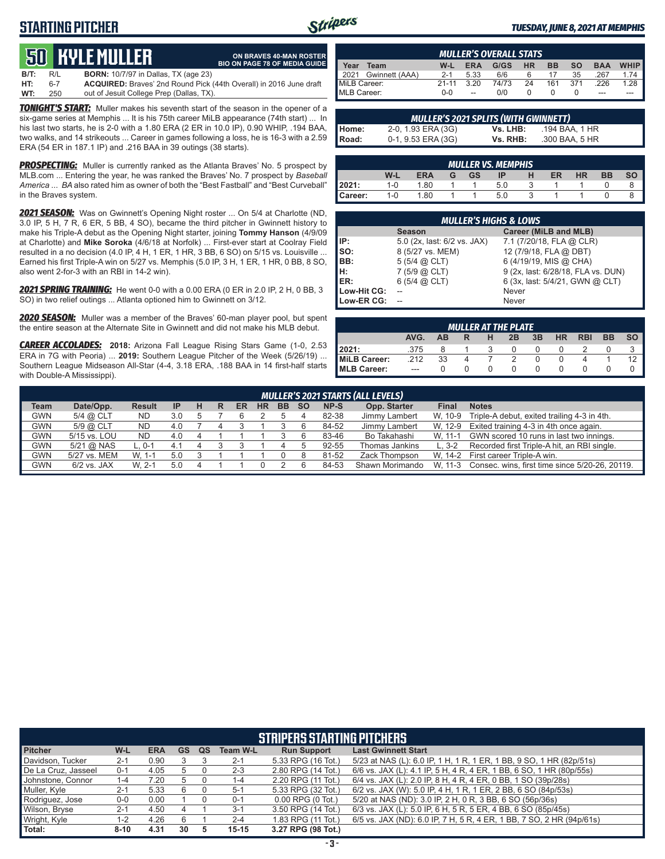# **STARTING PITCHER**



**ON BRAVES 40-MAN ROSTER**

#### *TUESDAY, JUNE 8, 2021 AT MEMPHIS*

# **50****KYLE MULLER**

|         |     | <u>CC III EE HOEEEN</u>                                                   | <b>BIO ON PAGE 78 OF MEDIA GUIDE</b> |
|---------|-----|---------------------------------------------------------------------------|--------------------------------------|
| $B/T$ : | R/L | <b>BORN:</b> 10/7/97 in Dallas, TX (age 23)                               |                                      |
| HT:     | հ-7 | <b>ACQUIRED:</b> Braves' 2nd Round Pick (44th Overall) in 2016 June draft |                                      |
| WT:     | 250 | out of Jesuit College Prep (Dallas, TX).                                  |                                      |

*TONIGHT'S START:* Muller makes his seventh start of the season in the opener of a six-game series at Memphis ... It is his 75th career MiLB appearance (74th start) ... In his last two starts, he is 2-0 with a 1.80 ERA (2 ER in 10.0 IP), 0.90 WHIP, .194 BAA, two walks, and 14 strikeouts ... Career in games following a loss, he is 16-3 with a 2.59 ERA (54 ER in 187.1 IP) and .216 BAA in 39 outings (38 starts).

*PROSPECTING:* Muller is currently ranked as the Atlanta Braves' No. 5 prospect by MLB.com ... Entering the year, he was ranked the Braves' No. 7 prospect by *Baseball America* ... *BA* also rated him as owner of both the "Best Fastball" and "Best Curveball" in the Braves system.

*2021 SEASON:* Was on Gwinnett's Opening Night roster ... On 5/4 at Charlotte (ND, 3.0 IP, 5 H, 7 R, 6 ER, 5 BB, 4 SO), became the third pitcher in Gwinnett history to make his Triple-A debut as the Opening Night starter, joining **Tommy Hanson** (4/9/09 at Charlotte) and **Mike Soroka** (4/6/18 at Norfolk) ... First-ever start at Coolray Field resulted in a no decision (4.0 IP, 4 H, 1 ER, 1 HR, 3 BB, 6 SO) on 5/15 vs. Louisville ... Earned his first Triple-A win on 5/27 vs. Memphis (5.0 IP, 3 H, 1 ER, 1 HR, 0 BB, 8 SO, also went 2-for-3 with an RBI in 14-2 win).

*2021 SPRING TRAINING:* He went 0-0 with a 0.00 ERA (0 ER in 2.0 IP, 2 H, 0 BB, 3 SO) in two relief outings ... Atlanta optioned him to Gwinnett on 3/12.

*2020 SEASON:* Muller was a member of the Braves' 60-man player pool, but spent the entire season at the Alternate Site in Gwinnett and did not make his MLB debut.

*CAREER ACCOLADES:* **2018:** Arizona Fall League Rising Stars Game (1-0, 2.53 ERA in 7G with Peoria) ... **2019:** Southern League Pitcher of the Week (5/26/19) ... Southern League Midseason All-Star (4-4, 3.18 ERA, .188 BAA in 14 first-half starts with Double-A Mississippi).

| <b>MULLER'S OVERALL STATS</b> |           |            |       |           |           |           |            |             |
|-------------------------------|-----------|------------|-------|-----------|-----------|-----------|------------|-------------|
| Yeaı<br>Team                  | W-L       | <b>ERA</b> | G/GS  | <b>HR</b> | <b>BB</b> | <b>SO</b> | <b>BAA</b> | <b>WHIP</b> |
| Gwinnett (AAA)<br>2021        | $2 - 1$   | 5.33       | 6/6   | 6         |           | 35        | .267       | 1.74        |
| MiLB Career:                  | $21 - 11$ | 320        | 74/73 | 24        | 161       | 371       | .226       | 1.28        |
| MLB Career:                   | $0 - 0$   | $-$        | 0/0   |           |           |           | ---        |             |

|              | <b>MULLER'S 2021 SPLITS (WITH GWINNETT)</b> |          |                |  |  |  |  |  |  |  |  |
|--------------|---------------------------------------------|----------|----------------|--|--|--|--|--|--|--|--|
| Home:        | 2-0, 1.93 ERA (3G)                          | Vs. LHB: | .194 BAA. 1 HR |  |  |  |  |  |  |  |  |
| <b>Road:</b> | 0-1, 9.53 ERA (3G)                          | Vs. RHB: | .300 BAA, 5 HR |  |  |  |  |  |  |  |  |

|         | <b>MULLER VS. MEMPHIS</b> |            |   |           |     |  |    |    |           |  |  |  |  |
|---------|---------------------------|------------|---|-----------|-----|--|----|----|-----------|--|--|--|--|
|         | W-L                       | <b>ERA</b> | G | <b>GS</b> | IP  |  | ER | HR | <b>BB</b> |  |  |  |  |
| l 2021: | $1 - 0$                   | 1.80       |   |           | 5.0 |  |    |    |           |  |  |  |  |
| Career: | $1 - 0$                   | 1.80       |   |           | 5.0 |  |    |    |           |  |  |  |  |

| <b>MULLER'S HIGHS &amp; LOWS</b> |                             |                                    |  |  |  |  |  |  |  |  |  |
|----------------------------------|-----------------------------|------------------------------------|--|--|--|--|--|--|--|--|--|
|                                  | <b>Season</b>               | Career (MiLB and MLB)              |  |  |  |  |  |  |  |  |  |
| IP:                              | 5.0 (2x, last: 6/2 vs. JAX) | 7.1 (7/20/18, FLA @ CLR)           |  |  |  |  |  |  |  |  |  |
| Iso:                             | 8 (5/27 vs. MEM)            | 12 (7/9/18, FLA @ DBT)             |  |  |  |  |  |  |  |  |  |
| BB:                              | $5(5/4)$ $\omega$ CLT)      | 6 (4/19/19, MIS @ CHA)             |  |  |  |  |  |  |  |  |  |
| Iн:                              | $7(5/9)$ $(2)$ CLT)         | 9 (2x, last: 6/28/18, FLA vs. DUN) |  |  |  |  |  |  |  |  |  |
| ER:                              | $6(5/4)$ $(2)$ CLT)         | 6 (3x, last: 5/4/21, GWN @ CLT)    |  |  |  |  |  |  |  |  |  |
| Low-Hit CG:                      |                             | Never                              |  |  |  |  |  |  |  |  |  |
| Low-ER CG:                       |                             | Never                              |  |  |  |  |  |  |  |  |  |

| <b>MULLER AT THE PLATE</b> |         |           |   |   |               |    |           |            |           |           |  |
|----------------------------|---------|-----------|---|---|---------------|----|-----------|------------|-----------|-----------|--|
|                            | AVG.    | <b>AB</b> | R | н | 2B            | 3B | <b>HR</b> | <b>RBI</b> | <b>BB</b> | <b>SO</b> |  |
| 12021:                     | .375    |           |   | ર | O             |    |           |            |           |           |  |
| MiLB Career:               | .212    | 33        | 4 |   | $\mathcal{P}$ |    |           |            |           | 12        |  |
| <b>IMLB Career:</b>        | $- - -$ |           |   |   | $^{\circ}$    |    |           |            |           |           |  |

|             | MULLER'S 2021 STARTS (ALL LEVELS) |               |           |   |   |    |           |           |           |       |                 |              |                                                |
|-------------|-----------------------------------|---------------|-----------|---|---|----|-----------|-----------|-----------|-------|-----------------|--------------|------------------------------------------------|
| <b>Team</b> | Date/Opp.                         | <b>Result</b> | <b>IP</b> | н | R | ER | <b>HR</b> | <b>BB</b> | <b>SO</b> | NP-S  | Opp. Starter    | <b>Final</b> | <b>Notes</b>                                   |
| <b>GWN</b>  | 5/4 @ CLT                         | ND            | 3.0       |   |   |    |           |           |           | 82-38 | Jimmy Lambert   | W. 10-9      | Triple-A debut, exited trailing 4-3 in 4th.    |
| <b>GWN</b>  | 5/9 @ CLT                         | <b>ND</b>     | 4.0       |   |   |    |           |           |           | 84-52 | Jimmy Lambert   | W. 12-9      | Exited training 4-3 in 4th once again.         |
| GWN         | 5/15 vs. LOU                      | <b>ND</b>     | 4.0       |   |   |    |           |           |           | 83-46 | Bo Takahashi    | W. 11-1      | GWN scored 10 runs in last two innings.        |
| GWN         | $5/21$ @ NAS                      | $L.0-1$       | 4. I      |   |   |    |           |           |           | 92-55 | Thomas Jankins  | L. $3-2$     | Recorded first Triple-A hit, an RBI single.    |
| GWN         | 5/27 vs. MEM                      | W. 1-1        | 5.0       |   |   |    |           |           |           | 81-52 | Zack Thompson   | W. 14-2      | First career Triple-A win.                     |
| GWN         | $6/2$ vs. JAX                     | W. 2-1        | 5.0       |   |   |    |           |           |           | 84-53 | Shawn Morimando | W. 11-3      | Consec. wins, first time since 5/20-26, 20119. |
|             |                                   |               |           |   |   |    |           |           |           |       |                 |              |                                                |

| <b>STRIPERS STARTING PITCHERS</b> |          |            |           |           |                 |                       |                                                                      |  |  |  |  |
|-----------------------------------|----------|------------|-----------|-----------|-----------------|-----------------------|----------------------------------------------------------------------|--|--|--|--|
| <b>Pitcher</b>                    | W-L      | <b>ERA</b> | <b>GS</b> | <b>QS</b> | <b>Team W-L</b> | <b>Run Support</b>    | <b>Last Gwinnett Start</b>                                           |  |  |  |  |
| Davidson, Tucker                  | $2 - 1$  | 0.90       |           |           | $2 - 1$         | 5.33 RPG (16 Tot.)    | 5/23 at NAS (L): 6.0 IP, 1 H, 1 R, 1 ER, 1 BB, 9 SO, 1 HR (82p/51s)  |  |  |  |  |
| De La Cruz, Jasseel               | $0 - 1$  | 4.05       | 5         |           | $2 - 3$         | 2.80 RPG (14 Tot.)    | 6/6 vs. JAX (L): 4.1 IP, 5 H, 4 R, 4 ER, 1 BB, 6 SO, 1 HR (80p/55s)  |  |  |  |  |
| Johnstone, Connor                 | 1-4      | 7.20       | 5         |           | $1 - 4$         | 2.20 RPG (11 Tot.)    | 6/4 vs. JAX (L): 2.0 IP, 8 H, 4 R, 4 ER, 0 BB, 1 SO (39p/28s)        |  |  |  |  |
| Muller, Kyle                      | $2 - 1$  | 5.33       | 6         |           | $5-1$           | 5.33 RPG (32 Tot.)    | 6/2 vs. JAX (W): 5.0 IP, 4 H, 1 R, 1 ER, 2 BB, 6 SO (84p/53s)        |  |  |  |  |
| Rodriguez, Jose                   | $0-0$    | 0.00       |           |           | $0 - 1$         | $0.00$ RPG $(0$ Tot.) | 5/20 at NAS (ND): 3.0 IP, 2 H, 0 R, 3 BB, 6 SO (56p/36s)             |  |  |  |  |
| Wilson, Bryse                     | $2 - 1$  | 4.50       | 4         |           | $3 - 1$         | 3.50 RPG (14 Tot.)    | 6/3 vs. JAX (L): 5.0 IP, 6 H, 5 R, 5 ER, 4 BB, 6 SO (85p/45s)        |  |  |  |  |
| Wright, Kyle                      | 1-2      | 4.26       | 6         |           | $2 - 4$         | 1.83 RPG (11 Tot.)    | 6/5 vs. JAX (ND): 6.0 IP, 7 H, 5 R, 4 ER, 1 BB, 7 SO, 2 HR (94p/61s) |  |  |  |  |
| Total:                            | $8 - 10$ | 4.31       | 30        |           | $15 - 15$       | 3.27 RPG (98 Tot.)    |                                                                      |  |  |  |  |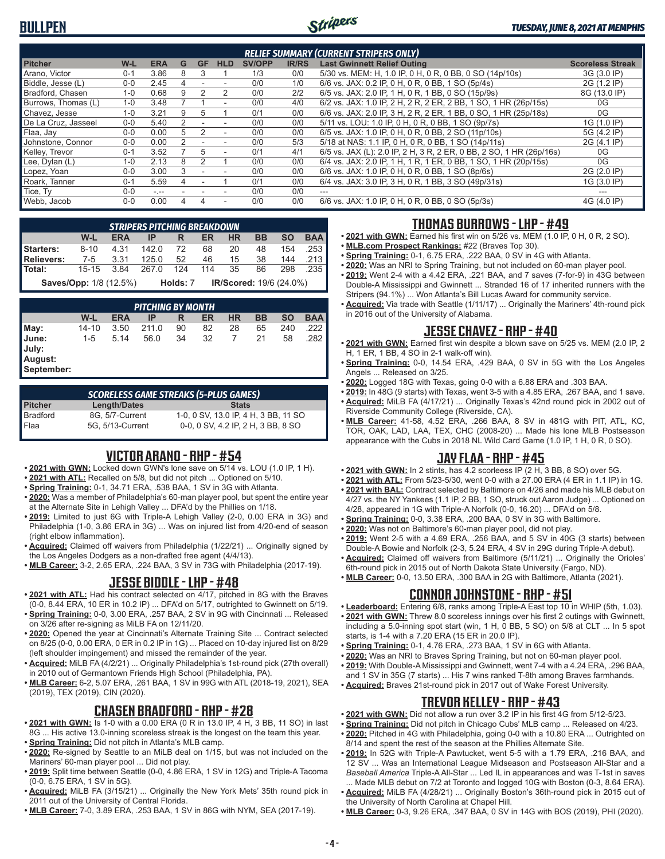# **BULLPEN**



#### *TUESDAY, JUNE 8, 2021 AT MEMPHIS*

| <b>RELIEF SUMMARY (CURRENT STRIPERS ONLY)</b> |         |            |   |           |                          |               |              |                                                                     |                         |  |
|-----------------------------------------------|---------|------------|---|-----------|--------------------------|---------------|--------------|---------------------------------------------------------------------|-------------------------|--|
| <b>Pitcher</b>                                | W-L     | <b>ERA</b> | G | <b>GF</b> | <b>HLD</b>               | <b>SV/OPP</b> | <b>IR/RS</b> | <b>Last Gwinnett Relief Outing</b>                                  | <b>Scoreless Streak</b> |  |
| Arano, Victor                                 | 0-1     | 3.86       | 8 | 3         |                          | 1/3           | 0/0          | 5/30 vs. MEM: H, 1.0 IP, 0 H, 0 R, 0 BB, 0 SO (14p/10s)             | 3G (3.0 IP)             |  |
| Biddle, Jesse (L)                             | $0 - 0$ | 2.45       |   |           |                          | 0/0           | 1/0          | 6/6 vs. JAX: 0.2 IP, 0 H, 0 R, 0 BB, 1 SO (5p/4s)                   | 2G (1.2 IP)             |  |
| Bradford, Chasen                              | $1 - 0$ | 0.68       |   |           | 2                        | 0/0           | 2/2          | 6/5 vs. JAX: 2.0 IP, 1 H, 0 R, 1 BB, 0 SO (15p/9s)                  | 8G (13.0 IP)            |  |
| Burrows, Thomas (L)                           | $1 - 0$ | 3.48       |   |           | ۰                        | 0/0           | 4/0          | 6/2 vs. JAX: 1.0 IP, 2 H, 2 R, 2 ER, 2 BB, 1 SO, 1 HR (26p/15s)     | 0G                      |  |
| Chavez, Jesse                                 | $1 - 0$ | 3.21       | 9 | b         |                          | 0/1           | 0/0          | 6/6 vs. JAX: 2.0 IP, 3 H, 2 R, 2 ER, 1 BB, 0 SO, 1 HR (25p/18s)     | 0G                      |  |
| De La Cruz, Jasseel                           | $0 - 0$ | 5.40       | 2 |           | ۰                        | 0/0           | 0/0          | 5/11 vs. LOU: 1.0 IP, 0 H, 0 R, 0 BB, 1 SO (9p/7s)                  | 1G (1.0 IP)             |  |
| Flaa, Jay                                     | $0 - 0$ | 0.00       | 5 |           | $\overline{\phantom{a}}$ | 0/0           | 0/0          | 6/5 vs. JAX: 1.0 IP, 0 H, 0 R, 0 BB, 2 SO (11p/10s)                 | 5G (4.2 IP)             |  |
| Johnstone, Connor                             | $0-0$   | 0.00       |   |           |                          | 0/0           | 5/3          | 5/18 at NAS: 1.1 IP, 0 H, 0 R, 0 BB, 1 SO (14p/11s)                 | 2G (4.1 IP)             |  |
| Kelley, Trevor                                | $0 - 1$ | 3.52       |   | 5         | $\overline{\phantom{a}}$ | 0/1           | 4/1          | 6/5 vs. JAX (L): 2.0 IP, 2 H, 3 R, 2 ER, 0 BB, 2 SO, 1 HR (26p/16s) | 0G                      |  |
| Lee, Dylan (L)                                | $1 - 0$ | 2.13       | 8 |           |                          | 0/0           | 0/0          | 6/4 vs. JAX: 2.0 IP, 1 H, 1 R, 1 ER, 0 BB, 1 SO, 1 HR (20p/15s)     | 0G                      |  |
| Lopez, Yoan                                   | $0 - 0$ | 3.00       | 3 |           |                          | 0/0           | 0/0          | 6/6 vs. JAX: 1.0 IP, 0 H, 0 R, 0 BB, 1 SO (8p/6s)                   | 2G (2.0 IP)             |  |
| Roark, Tanner                                 | $0 - 1$ | 5.59       |   |           |                          | 0/1           | 0/0          | 6/4 vs. JAX: 3.0 IP, 3 H, 0 R, 1 BB, 3 SO (49p/31s)                 | 1G (3.0 IP)             |  |
| Tice, Ty                                      | $0 - 0$ | $-1 -$     |   |           |                          | 0/0           | 0/0          | ---                                                                 |                         |  |
| Webb, Jacob                                   | $0 - 0$ | 0.00       |   |           | ٠                        | 0/0           | 0/0          | 6/6 vs. JAX: 1.0 IP, 0 H, 0 R, 0 BB, 0 SO (5p/3s)                   | 4G (4.0 IP)             |  |

|                  | <b>STRIPERS PITCHING BREAKDOWN</b> |            |       |          |      |                                |           |           |            |  |  |  |  |
|------------------|------------------------------------|------------|-------|----------|------|--------------------------------|-----------|-----------|------------|--|--|--|--|
|                  | W-L                                | <b>ERA</b> |       | R        | ER   | <b>HR</b>                      | <b>BB</b> | <b>SO</b> | <b>BAA</b> |  |  |  |  |
| <b>Starters:</b> | $8 - 10$                           | 4.31       | 142.0 | - 72     | 68   | 20                             | 48        | 154       | .253       |  |  |  |  |
| Relievers:       | 7-5 3.31                           |            | 125.0 | 52       | 46 — | 15                             | 38        |           | 144 .213   |  |  |  |  |
| Total:           | $15 - 15$                          | 3.84       | 267 O | 124      | 114  | 35                             | 86        | 298       | .235       |  |  |  |  |
|                  | <b>Saves/Opp:</b> 1/8 (12.5%)      |            |       | Holds: 7 |      | <b>IR/Scored: 19/6 (24.0%)</b> |           |           |            |  |  |  |  |

*PITCHING BY MONTH* **W-L ERA IP R ER HR BB SO BAA May:** 14-10 3.50 211.0 90 82 28 65 240 .222 **June:** 1-5 5.14 56.0 34 32 7 21 58 .282 **July: August: September:**

*SCORELESS GAME STREAKS (5-PLUS GAMES)* **Pitcher Length/Dates Stats** Bradford 8G, 5/7-Current 1-0, 0 SV, 13.0 IP, 4 H, 3 BB, 11 SO Flaa 5G, 5/13-Current 0-0, 0 SV, 4.2 IP, 2 H, 3 BB, 8 SO

### **VICTOR ARANO - RHP - #54**

- **• 2021 with GWN:** Locked down GWN's lone save on 5/14 vs. LOU (1.0 IP, 1 H).
- **• 2021 with ATL:** Recalled on 5/8, but did not pitch ... Optioned on 5/10.
- **• Spring Training:** 0-1, 34.71 ERA, .538 BAA, 1 SV in 3G with Atlanta.
- **• 2020:** Was a member of Philadelphia's 60-man player pool, but spent the entire year at the Alternate Site in Lehigh Valley ... DFA'd by the Phillies on 1/18.
- **• 2019:** Limited to just 6G with Triple-A Lehigh Valley (2-0, 0.00 ERA in 3G) and Philadelphia (1-0, 3.86 ERA in 3G) ... Was on injured list from 4/20-end of season (right elbow inflammation).
- **• Acquired:** Claimed off waivers from Philadelphia (1/22/21) ... Originally signed by the Los Angeles Dodgers as a non-drafted free agent (4/4/13).
- **• MLB Career:** 3-2, 2.65 ERA, .224 BAA, 3 SV in 73G with Philadelphia (2017-19).

## **JESSE BIDDLE - LHP - #48**

- **• 2021 with ATL:** Had his contract selected on 4/17, pitched in 8G with the Braves (0-0, 8.44 ERA, 10 ER in 10.2 IP) ... DFA'd on 5/17, outrighted to Gwinnett on 5/19.
- **• Spring Training:** 0-0, 3.00 ERA, .257 BAA, 2 SV in 9G with Cincinnati ... Released on 3/26 after re-signing as MiLB FA on 12/11/20.
- **• 2020:** Opened the year at Cincinnati's Alternate Training Site ... Contract selected on 8/25 (0-0, 0.00 ERA, 0 ER in 0.2 IP in 1G) ... Placed on 10-day injured list on 8/29 (left shoulder impingement) and missed the remainder of the year.
- **• Acquired:** MiLB FA (4/2/21) ... Originally Philadelphia's 1st-round pick (27th overall) in 2010 out of Germantown Friends High School (Philadelphia, PA).
- **• MLB Career:** 6-2, 5.07 ERA, .261 BAA, 1 SV in 99G with ATL (2018-19, 2021), SEA (2019), TEX (2019), CIN (2020).

# **CHASEN BRADFORD - RHP - #28**

- **• 2021 with GWN:** Is 1-0 with a 0.00 ERA (0 R in 13.0 IP, 4 H, 3 BB, 11 SO) in last 8G ... His active 13.0-inning scoreless streak is the longest on the team this year.
- **• Spring Training:** Did not pitch in Atlanta's MLB camp.
- **• 2020:** Re-signed by Seattle to an MiLB deal on 1/15, but was not included on the Mariners' 60-man player pool ... Did not play.
- **• 2019:** Split time between Seattle (0-0, 4.86 ERA, 1 SV in 12G) and Triple-A Tacoma (0-0, 6.75 ERA, 1 SV in 5G).
- **• Acquired:** MiLB FA (3/15/21) ... Originally the New York Mets' 35th round pick in 2011 out of the University of Central Florida.
- **• MLB Career:** 7-0, 3.89 ERA, .253 BAA, 1 SV in 86G with NYM, SEA (2017-19).

# **THOMAS BURROWS - LHP - #49**

- **• 2021 with GWN:** Earned his first win on 5/26 vs. MEM (1.0 IP, 0 H, 0 R, 2 SO).
- **• MLB.com Prospect Rankings:** #22 (Braves Top 30).
- **• Spring Training:** 0-1, 6.75 ERA, .222 BAA, 0 SV in 4G with Atlanta.
- **• 2020:** Was an NRI to Spring Training, but not included on 60-man player pool. **• 2019:** Went 2-4 with a 4.42 ERA, .221 BAA, and 7 saves (7-for-9) in 43G between Double-A Mississippi and Gwinnett ... Stranded 16 of 17 inherited runners with the Stripers (94.1%) ... Won Atlanta's Bill Lucas Award for community service.
- **• Acquired:** Via trade with Seattle (1/11/17) ... Originally the Mariners' 4th-round pick in 2016 out of the University of Alabama.

# **JESSE CHAVEZ - RHP - #40**

- **• 2021 with GWN:** Earned first win despite a blown save on 5/25 vs. MEM (2.0 IP, 2 H, 1 ER, 1 BB, 4 SO in 2-1 walk-off win).
- **• Spring Training:** 0-0, 14.54 ERA, .429 BAA, 0 SV in 5G with the Los Angeles Angels ... Released on 3/25.
- **• 2020:** Logged 18G with Texas, going 0-0 with a 6.88 ERA and .303 BAA.
- **• 2019:** In 48G (9 starts) with Texas, went 3-5 with a 4.85 ERA, .267 BAA, and 1 save. **• Acquired:** MiLB FA (4/17/21) ... Originally Texas's 42nd round pick in 2002 out of
- Riverside Community College (Riverside, CA). **• MLB Career:** 41-58, 4.52 ERA, .266 BAA, 8 SV in 481G with PIT, ATL, KC, TOR, OAK, LAD, LAA, TEX, CHC (2008-20) ... Made his lone MLB Postseason appearance with the Cubs in 2018 NL Wild Card Game (1.0 IP, 1 H, 0 R, 0 SO).

# **JAY FLAA - RHP - #45**

- **• 2021 with GWN:** In 2 stints, has 4.2 scorleess IP (2 H, 3 BB, 8 SO) over 5G.
- **• 2021 with ATL:** From 5/23-5/30, went 0-0 with a 27.00 ERA (4 ER in 1.1 IP) in 1G.
- **• 2021 with BAL:** Contract selected by Baltimore on 4/26 and made his MLB debut on 4/27 vs. the NY Yankees (1.1 IP, 2 BB, 1 SO, struck out Aaron Judge) ... Optioned on
- 4/28, appeared in 1G with Triple-A Norfolk (0-0, 16.20) ... DFA'd on 5/8.
- **• Spring Training:** 0-0, 3.38 ERA, .200 BAA, 0 SV in 3G with Baltimore.
- **• 2020:** Was not on Baltimore's 60-man player pool, did not play. **• 2019:** Went 2-5 with a 4.69 ERA, .256 BAA, and 5 SV in 40G (3 starts) between
- Double-A Bowie and Norfolk (2-3, 5.24 ERA, 4 SV in 29G during Triple-A debut). **• Acquired:** Claimed off waivers from Baltimore (5/11/21) ... Originally the Orioles'
- 6th-round pick in 2015 out of North Dakota State University (Fargo, ND). **• MLB Career:** 0-0, 13.50 ERA, .300 BAA in 2G with Baltimore, Atlanta (2021).

# **CONNOR JOHNSTONE - RHP - #51**

- **• Leaderboard:** Entering 6/8, ranks among Triple-A East top 10 in WHIP (5th, 1.03).
- **• 2021 with GWN:** Threw 8.0 scoreless innings over his first 2 outings with Gwinnett, including a 5.0-inning spot start (win, 1 H, 0 BB, 5 SO) on 5/8 at CLT ... In 5 spot starts, is 1-4 with a 7.20 ERA (15 ER in 20.0 IP).
- **• Spring Training:** 0-1, 4.76 ERA, .273 BAA, 1 SV in 6G with Atlanta.
- **• 2020:** Was an NRI to Braves Spring Training, but not on 60-man player pool.
- **• 2019:** With Double-A Mississippi and Gwinnett, went 7-4 with a 4.24 ERA, .296 BAA, and 1 SV in 35G (7 starts) ... His 7 wins ranked T-8th among Braves farmhands.
- **• Acquired:** Braves 21st-round pick in 2017 out of Wake Forest University.

# **TREVOR KELLEY - RHP - #43**

- **• 2021 with GWN:** Did not allow a run over 3.2 IP in his first 4G from 5/12-5/23.
- **• Spring Training:** Did not pitch in Chicago Cubs' MLB camp ... Released on 4/23. **• 2020:** Pitched in 4G with Philadelphia, going 0-0 with a 10.80 ERA ... Outrighted on 8/14 and spent the rest of the season at the Phillies Alternate Site.
- **• 2019:** In 52G with Triple-A Pawtucket, went 5-5 with a 1.79 ERA, .216 BAA, and 12 SV ... Was an International League Midseason and Postseason All-Star and a *Baseball America* Triple-A All-Star ... Led IL in appearances and was T-1st in saves ... Made MLB debut on 7/2 at Toronto and logged 10G with Boston (0-3, 8.64 ERA).
- **• Acquired:** MiLB FA (4/28/21) ... Originally Boston's 36th-round pick in 2015 out of the University of North Carolina at Chapel Hill.
- **• MLB Career:** 0-3, 9.26 ERA, .347 BAA, 0 SV in 14G with BOS (2019), PHI (2020).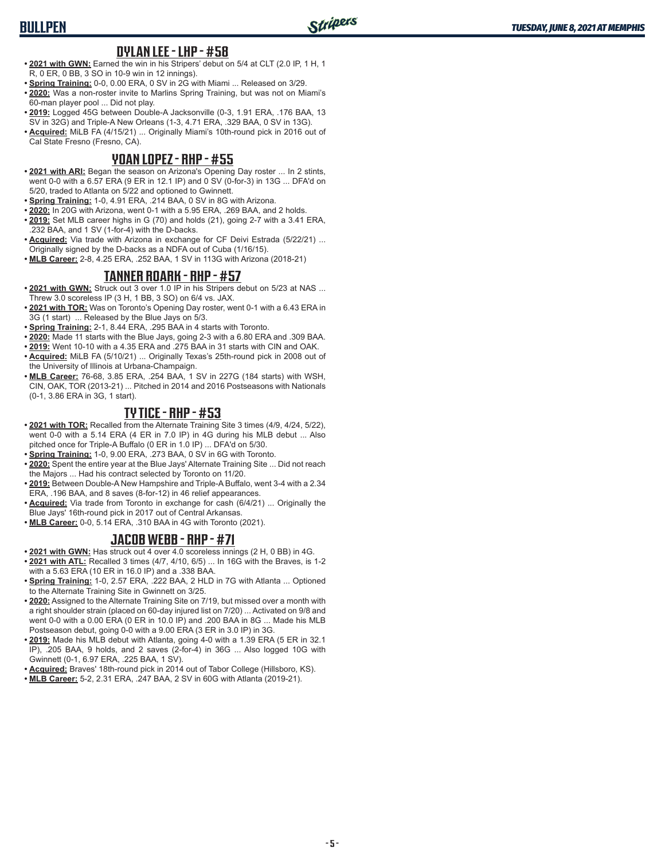#### **DYLAN LEE - LHP - #58**

- **• 2021 with GWN:** Earned the win in his Stripers' debut on 5/4 at CLT (2.0 IP, 1 H, 1 R, 0 ER, 0 BB, 3 SO in 10-9 win in 12 innings).
- **• Spring Training:** 0-0, 0.00 ERA, 0 SV in 2G with Miami ... Released on 3/29.
- **• 2020:** Was a non-roster invite to Marlins Spring Training, but was not on Miami's 60-man player pool ... Did not play.
- **• 2019:** Logged 45G between Double-A Jacksonville (0-3, 1.91 ERA, .176 BAA, 13 SV in 32G) and Triple-A New Orleans (1-3, 4.71 ERA, .329 BAA, 0 SV in 13G).
- **• Acquired:** MiLB FA (4/15/21) ... Originally Miami's 10th-round pick in 2016 out of Cal State Fresno (Fresno, CA).

#### **YOAN LOPEZ - RHP - #55**

- **• 2021 with ARI:** Began the season on Arizona's Opening Day roster ... In 2 stints, went 0-0 with a 6.57 ERA (9 ER in 12.1 IP) and 0 SV (0-for-3) in 13G ... DFA'd on 5/20, traded to Atlanta on 5/22 and optioned to Gwinnett.
- **• Spring Training:** 1-0, 4.91 ERA, .214 BAA, 0 SV in 8G with Arizona.
- **• 2020:** In 20G with Arizona, went 0-1 with a 5.95 ERA, .269 BAA, and 2 holds.
- **• 2019:** Set MLB career highs in G (70) and holds (21), going 2-7 with a 3.41 ERA, .232 BAA, and 1 SV (1-for-4) with the D-backs.
- **• Acquired:** Via trade with Arizona in exchange for CF Deivi Estrada (5/22/21) ... Originally signed by the D-backs as a NDFA out of Cuba (1/16/15).
- **• MLB Career:** 2-8, 4.25 ERA, .252 BAA, 1 SV in 113G with Arizona (2018-21)

#### **TANNER ROARK - RHP - #57**

- **• 2021 with GWN:** Struck out 3 over 1.0 IP in his Stripers debut on 5/23 at NAS ... Threw 3.0 scoreless IP (3 H, 1 BB, 3 SO) on 6/4 vs. JAX.
- **• 2021 with TOR:** Was on Toronto's Opening Day roster, went 0-1 with a 6.43 ERA in 3G (1 start) ... Released by the Blue Jays on 5/3.
- **• Spring Training:** 2-1, 8.44 ERA, .295 BAA in 4 starts with Toronto.
- **• 2020:** Made 11 starts with the Blue Jays, going 2-3 with a 6.80 ERA and .309 BAA.
- **• 2019:** Went 10-10 with a 4.35 ERA and .275 BAA in 31 starts with CIN and OAK. **• Acquired:** MiLB FA (5/10/21) ... Originally Texas's 25th-round pick in 2008 out of the University of Illinois at Urbana-Champaign.
- **• MLB Career:** 76-68, 3.85 ERA, .254 BAA, 1 SV in 227G (184 starts) with WSH, CIN, OAK, TOR (2013-21) ... Pitched in 2014 and 2016 Postseasons with Nationals (0-1, 3.86 ERA in 3G, 1 start).

#### **TY TICE - RHP - #53**

- **• 2021 with TOR:** Recalled from the Alternate Training Site 3 times (4/9, 4/24, 5/22), went 0-0 with a 5.14 ERA (4 ER in 7.0 IP) in 4G during his MLB debut ... Also pitched once for Triple-A Buffalo (0 ER in 1.0 IP) ... DFA'd on 5/30.
- **• Spring Training:** 1-0, 9.00 ERA, .273 BAA, 0 SV in 6G with Toronto.
- **• 2020:** Spent the entire year at the Blue Jays' Alternate Training Site ... Did not reach the Majors ... Had his contract selected by Toronto on 11/20.
- **• 2019:** Between Double-A New Hampshire and Triple-A Buffalo, went 3-4 with a 2.34 ERA, .196 BAA, and 8 saves (8-for-12) in 46 relief appearances.
- **• Acquired:** Via trade from Toronto in exchange for cash (6/4/21) ... Originally the Blue Jays' 16th-round pick in 2017 out of Central Arkansas.
- **• MLB Career:** 0-0, 5.14 ERA, .310 BAA in 4G with Toronto (2021).

#### **JACOB WEBB - RHP - #71**

- **• 2021 with GWN:** Has struck out 4 over 4.0 scoreless innings (2 H, 0 BB) in 4G. **• 2021 with ATL:** Recalled 3 times (4/7, 4/10, 6/5) ... In 16G with the Braves, is 1-2
- with a 5.63 ERA (10 ER in 16.0 IP) and a .338 BAA. **• Spring Training:** 1-0, 2.57 ERA, .222 BAA, 2 HLD in 7G with Atlanta ... Optioned
- to the Alternate Training Site in Gwinnett on 3/25.
- **• 2020:** Assigned to the Alternate Training Site on 7/19, but missed over a month with a right shoulder strain (placed on 60-day injured list on 7/20) ... Activated on 9/8 and went 0-0 with a 0.00 ERA (0 ER in 10.0 IP) and .200 BAA in 8G ... Made his MLB Postseason debut, going 0-0 with a 9.00 ERA (3 ER in 3.0 IP) in 3G.
- **• 2019:** Made his MLB debut with Atlanta, going 4-0 with a 1.39 ERA (5 ER in 32.1 IP), .205 BAA, 9 holds, and 2 saves (2-for-4) in 36G ... Also logged 10G with Gwinnett (0-1, 6.97 ERA, .225 BAA, 1 SV).
- **• Acquired:** Braves' 18th-round pick in 2014 out of Tabor College (Hillsboro, KS).
- **• MLB Career:** 5-2, 2.31 ERA, .247 BAA, 2 SV in 60G with Atlanta (2019-21).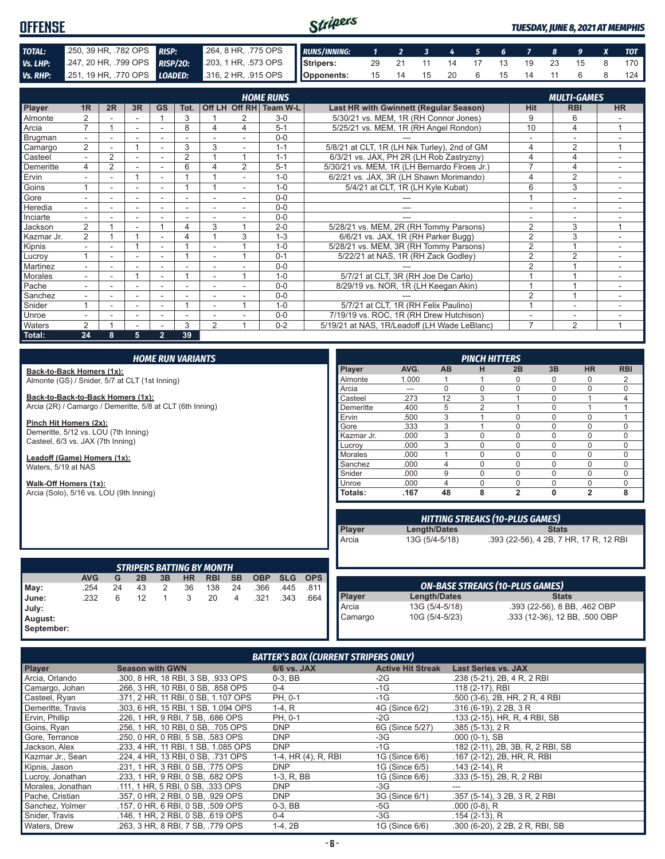#### Stripers **OFFENSE** *TUESDAY, JUNE 8, 2021 AT MEMPHIS TOTAL:* .250, 39 HR, .782 OPS *RISP:* .264, 8 HR, .775 OPS *RUNS/INNING: 1 2 3 4 5 6 7 8 9 X TOT* **Vs. LHP:** .247, 20 HR, .799 OPS **RISP/20:** .203, 1 HR, .573 OPS **Vs. RHP:** .251, 19 HR, .770 OPS **LOADED:** .316, 2 HR, .915 OPS **Stripers:** 29 21 11 14 17 13 19 23 15 8 170 *Vs. RHP:* .251, 19 HR, .770 OPS *LOADED:* **Opponents:** 15 14 15 20 6 15 14 11 6 8 124

| <b>HOME RUNS</b><br><b>MULTI-GAMES</b> |                |    |    |                          |                |                |                |                 |                                              |                |                |                          |
|----------------------------------------|----------------|----|----|--------------------------|----------------|----------------|----------------|-----------------|----------------------------------------------|----------------|----------------|--------------------------|
| Player                                 | 1 <sub>R</sub> | 2R | 3R | <b>GS</b>                | Tot.           |                | Off LH Off RH  | <b>Team W-L</b> | Last HR with Gwinnett (Regular Season)       | <b>Hit</b>     | <b>RBI</b>     | <b>HR</b>                |
| Almonte                                |                |    |    |                          | 3              |                | 2              | $3-0$           | 5/30/21 vs. MEM, 1R (RH Connor Jones)        | 9              | 6              |                          |
| Arcia                                  | 7              |    | ٠  | ٠                        | 8              | 4              | 4              | $5 - 1$         | 5/25/21 vs. MEM, 1R (RH Angel Rondon)        | 10             | 4              | -1                       |
| Brugman                                |                |    |    |                          |                |                |                | $0 - 0$         |                                              |                |                |                          |
| Camargo                                | $\overline{2}$ |    |    |                          | 3              | 3              |                | $1 - 1$         | 5/8/21 at CLT, 1R (LH Nik Turley), 2nd of GM | 4              | 2              | и                        |
| Casteel                                | ۰.             | 2  |    | $\overline{\phantom{a}}$ | $\overline{2}$ |                |                | $1 - 1$         | 6/3/21 vs. JAX, PH 2R (LH Rob Zastryzny)     | 4              | 4              |                          |
| Demeritte                              | 4              | 2  |    | ٠                        | 6              |                | $\overline{2}$ | $5 - 1$         | 5/30/21 vs. MEM, 1R (LH Bernardo Flroes Jr.) | ⇁              | 4              |                          |
| Ervin                                  |                |    |    |                          |                |                |                | $1 - 0$         | 6/2/21 vs. JAX, 3R (LH Shawn Morimando)      | 4              | 2              |                          |
| Goins                                  |                | ۰  | ۰  | $\sim$                   |                |                | $\sim$         | $1 - 0$         | 5/4/21 at CLT, 1R (LH Kyle Kubat)            | 6              | 3              | $\overline{\phantom{0}}$ |
| Gore                                   |                |    |    |                          |                |                |                | $0 - 0$         |                                              |                |                |                          |
| Heredia                                |                |    |    |                          |                |                |                | $0 - 0$         |                                              |                |                |                          |
| Inciarte                               |                |    |    |                          |                |                |                | $0 - 0$         |                                              |                |                |                          |
| Jackson                                | 2              |    | ٠  |                          |                | 3              |                | $2 - 0$         | 5/28/21 vs. MEM, 2R (RH Tommy Parsons)       | $\overline{2}$ | 3              | $\overline{ }$           |
| Kazmar Jr.                             | 2              |    |    |                          | 4              |                | 3              | $1 - 3$         | 6/6/21 vs. JAX, 1R (RH Parker Bugg)          | $\overline{2}$ | 3              |                          |
| Kipnis                                 |                |    |    |                          |                |                |                | $1 - 0$         | 5/28/21 vs. MEM, 3R (RH Tommy Parsons)       | 2              |                |                          |
| Lucroy                                 |                | ٠  | ٠  | ٠                        |                | ٠              |                | $0 - 1$         | 5/22/21 at NAS, 1R (RH Zack Godley)          | $\overline{2}$ | $\overline{2}$ | $\overline{\phantom{a}}$ |
| Martinez                               | ۰              |    | ۰  | ٠                        |                |                |                | $0 - 0$         |                                              | $\mathfrak{p}$ |                |                          |
| Morales                                |                |    |    | ٠                        |                |                |                | $1 - \Omega$    | 5/7/21 at CLT, 3R (RH Joe De Carlo)          |                |                |                          |
| Pache                                  |                |    |    |                          |                |                |                | $0 - 0$         | 8/29/19 vs. NOR, 1R (LH Keegan Akin)         |                |                |                          |
| Sanchez                                |                |    |    |                          |                |                |                | $0 - 0$         |                                              | $\overline{2}$ |                |                          |
| Snider                                 |                |    | ٠  |                          |                |                |                | $1 - 0$         | 5/7/21 at CLT, 1R (RH Felix Paulino)         |                | ٠              |                          |
| <b>Unroe</b>                           |                |    | ۰  | $\overline{\phantom{a}}$ | ٠              |                |                | $0 - 0$         | 7/19/19 vs. ROC, 1R (RH Drew Hutchison)      |                | ۰              |                          |
| <b>Waters</b>                          | 2              |    |    |                          | 3              | $\overline{2}$ |                | $0 - 2$         | 5/19/21 at NAS, 1R/Leadoff (LH Wade LeBlanc) | $\overline{7}$ | $\overline{2}$ | $\overline{ }$           |
| Total:                                 | 24             | 8  | 5  | $\overline{2}$           | 39             |                |                |                 |                                              |                |                |                          |

|                                                           |            |    |    |              | <b>HOME RUN VARIANTS</b> |                                  |                |            |            |            |           |                                        |                     | <b>PINCH HITTERS</b>                   |                |              |                                        |                |
|-----------------------------------------------------------|------------|----|----|--------------|--------------------------|----------------------------------|----------------|------------|------------|------------|-----------|----------------------------------------|---------------------|----------------------------------------|----------------|--------------|----------------------------------------|----------------|
| Back-to-Back Homers (1x):                                 |            |    |    |              |                          |                                  |                |            |            |            | Player    | AVG.                                   | <b>AB</b>           | н                                      | 2B             | 3B           | <b>HR</b>                              | <b>RBI</b>     |
| Almonte (GS) / Snider, 5/7 at CLT (1st Inning)            |            |    |    |              |                          |                                  |                |            |            |            | Almonte   | 1.000                                  |                     |                                        | $\Omega$       | $\Omega$     | 0                                      | 2              |
|                                                           |            |    |    |              |                          |                                  |                |            |            |            | Arcia     | ---                                    | $\Omega$            | $\Omega$                               | $\Omega$       | $\Omega$     | $\Omega$                               | $\mathbf 0$    |
| Back-to-Back-to-Back Homers (1x):                         |            |    |    |              |                          |                                  |                |            |            |            | Casteel   | .273                                   | 12                  | 3                                      |                | $\Omega$     |                                        | $\overline{4}$ |
| Arcia (2R) / Camargo / Demeritte, 5/8 at CLT (6th Inning) |            |    |    |              |                          |                                  |                |            |            |            | Demeritte | .400                                   | 5                   | $\overline{2}$                         |                | $\Omega$     | 1                                      |                |
|                                                           |            |    |    |              |                          |                                  |                |            |            |            | Ervin     | .500                                   | 3                   |                                        | $\Omega$       | $\Omega$     | 0                                      |                |
| Pinch Hit Homers (2x):                                    |            |    |    |              |                          |                                  |                |            |            |            | Gore      | .333                                   | 3                   |                                        | $\Omega$       | $\Omega$     | 0                                      | $\mathbf 0$    |
| Demeritte, 5/12 vs. LOU (7th Inning)                      |            |    |    |              |                          |                                  |                |            |            | Kazmar Jr. | .000      | 3                                      | 0                   | $\Omega$                               | $\Omega$       | $\Omega$     | $\mathbf 0$                            |                |
| Casteel, 6/3 vs. JAX (7th Inning)                         |            |    |    |              |                          |                                  |                |            |            | Lucrov     | .000      | 3                                      | $\Omega$            | $\Omega$                               | $\Omega$       | 0            | 0                                      |                |
|                                                           |            |    |    |              |                          |                                  |                |            |            |            | Morales   | .000                                   |                     | 0                                      | $\Omega$       | $\Omega$     | $\Omega$                               | 0              |
| Leadoff (Game) Homers (1x):<br>Waters, 5/19 at NAS        |            |    |    |              |                          |                                  |                |            |            | Sanchez    | .000      | $\overline{4}$                         | 0                   | $\Omega$                               | $\Omega$       | 0            | $\mathbf 0$                            |                |
|                                                           |            |    |    |              |                          |                                  |                |            |            |            | Snider    | .000                                   | 9                   | $\Omega$                               | $\Omega$       | $\Omega$     | $\Omega$                               | $\mathbf 0$    |
| Walk-Off Homers (1x):                                     |            |    |    |              |                          |                                  |                |            |            |            | Unroe     | .000                                   | $\overline{4}$      | 0                                      | $\Omega$       | $\mathbf{0}$ | $\mathbf 0$                            | $\mathbf 0$    |
| Arcia (Solo), 5/16 vs. LOU (9th Inning)                   |            |    |    |              |                          |                                  |                |            |            |            | Totals:   | .167                                   | 48                  | 8                                      | $\overline{2}$ | $\mathbf{0}$ | $\overline{2}$                         | 8              |
|                                                           |            |    |    |              |                          |                                  |                |            |            |            |           |                                        |                     |                                        |                |              |                                        |                |
|                                                           |            |    |    |              |                          |                                  |                |            |            |            |           | <b>HITTING STREAKS (10-PLUS GAMES)</b> |                     |                                        |                |              |                                        |                |
|                                                           |            |    |    |              |                          |                                  |                |            |            |            | Player    |                                        | Length/Dates        |                                        |                | <b>Stats</b> |                                        |                |
|                                                           |            |    |    |              |                          |                                  |                |            |            |            | Arcia     |                                        | 13G (5/4-5/18)      |                                        |                |              | .393 (22-56), 4 2B, 7 HR, 17 R, 12 RBI |                |
|                                                           |            |    |    |              |                          |                                  |                |            |            |            |           |                                        |                     |                                        |                |              |                                        |                |
|                                                           |            |    |    |              |                          |                                  |                |            |            |            |           |                                        |                     |                                        |                |              |                                        |                |
|                                                           |            |    |    |              |                          | <b>STRIPERS BATTING BY MONTH</b> |                |            |            |            |           |                                        |                     |                                        |                |              |                                        |                |
|                                                           | <b>AVG</b> | G  | 2B | 3B           | HR.                      | <b>RBI</b>                       | <b>SB</b>      | <b>OBP</b> | <b>SLG</b> | <b>OPS</b> |           |                                        |                     |                                        |                |              |                                        |                |
| May:                                                      | .254       | 24 | 43 | 2            | 36                       | 138                              | 24             | .366       | .445       | .811       |           |                                        |                     | <b>ON-BASE STREAKS (10-PLUS GAMES)</b> |                |              |                                        |                |
| June:                                                     | .232       | 6  | 12 | $\mathbf{1}$ | 3                        | 20                               | $\overline{4}$ | .321       | .343       | .664       | Player    |                                        | <b>Length/Dates</b> |                                        |                | <b>Stats</b> |                                        |                |
| July:                                                     |            |    |    |              |                          |                                  |                |            |            |            | Arcia     |                                        | 13G (5/4-5/18)      |                                        |                |              | .393 (22-56), 8 BB, .462 OBP           |                |
| August:                                                   |            |    |    |              |                          |                                  |                |            |            |            | Camargo   |                                        | 10G (5/4-5/23)      |                                        |                |              | .333 (12-36), 12 BB, .500 OBP          |                |

**September:**

| <b>Player</b>     | <b>Season with GWN</b>              | <b>6/6 vs. JAX</b>  | <b>Active Hit Streak</b> | <b>Last Series vs. JAX</b>        |
|-------------------|-------------------------------------|---------------------|--------------------------|-----------------------------------|
| Arcia, Orlando    | .300, 8 HR, 18 RBI, 3 SB, .933 OPS  | $0-3.$ BB           | $-2G$                    | .238 (5-21), 2B, 4 R, 2 RBI       |
| Camargo, Johan    | .266, 3 HR, 10 RBI, 0 SB, .858 OPS  | $0 - 4$             | $-1G$                    | .118 (2-17), RBI                  |
| Casteel, Ryan     | .371, 2 HR, 11 RBI, 0 SB, 1.107 OPS | PH, 0-1             | $-1G$                    | .500 (3-6), 2B, HR, 2 R, 4 RBI    |
| Demeritte, Travis | .303, 6 HR, 15 RBI, 1 SB, 1.094 OPS | $1-4, R$            | 4G (Since 6/2)           | .316 (6-19), 2 2B, 3 R            |
| Ervin, Phillip    | .226, 1 HR, 9 RBI, 7 SB, .686 OPS   | PH, 0-1             | -2G                      | .133 (2-15), HR, R, 4 RBI, SB     |
| Goins, Ryan       | .256, 1 HR, 10 RBI, 0 SB, .705 OPS  | <b>DNP</b>          | 6G (Since 5/27)          | $.385(5-13)$ , 2 R                |
| Gore, Terrance    | .250, 0 HR, 0 RBI, 5 SB, .583 OPS   | <b>DNP</b>          | -3G                      | $.000(0-1)$ , SB                  |
| Jackson, Alex     | .233, 4 HR, 11 RBI, 1 SB, 1.085 OPS | <b>DNP</b>          | -1G                      | .182 (2-11), 2B, 3B, R, 2 RBI, SB |
| Kazmar Jr., Sean  | .224, 4 HR, 13 RBI, 0 SB, .731 OPS  | 1-4, HR (4), R, RBI | 1G (Since 6/6)           | .167 (2-12), 2B, HR, R, RBI       |
| Kipnis, Jason     | .231, 1 HR, 3 RBI, 0 SB, .775 OPS   | <b>DNP</b>          | 1G (Since 6/5)           | $.143(2-14)$ , R                  |
| Lucroy, Jonathan  | .233. 1 HR. 9 RBI. 0 SB. .682 OPS   | 1-3. R. BB          | 1G (Since 6/6)           | .333 (5-15), 2B, R, 2 RBI         |
| Morales, Jonathan | .111, 1 HR, 5 RBI, 0 SB, .333 OPS   | DNP                 | -3G                      | ---                               |
| Pache, Cristian   | .357, 0 HR, 2 RBI, 0 SB, .929 OPS   | <b>DNP</b>          | 3G (Since 6/1)           | .357 (5-14), 3 2B, 3 R, 2 RBI     |
| Sanchez, Yolmer   | .157, 0 HR, 6 RBI, 0 SB, .509 OPS   | $0-3$ , BB          | -5G                      | $.000(0-8)$ , R                   |
| Snider, Travis    | .146, 1 HR, 2 RBI, 0 SB, .619 OPS   | $0 - 4$             | $-3G$                    | $.154(2-13)$ , R                  |
| Waters, Drew      | .263, 3 HR, 8 RBI, 7 SB, .779 OPS   | $1-4, 2B$           | 1G (Since 6/6)           | .300 (6-20), 2 2B, 2 R, RBI, SB   |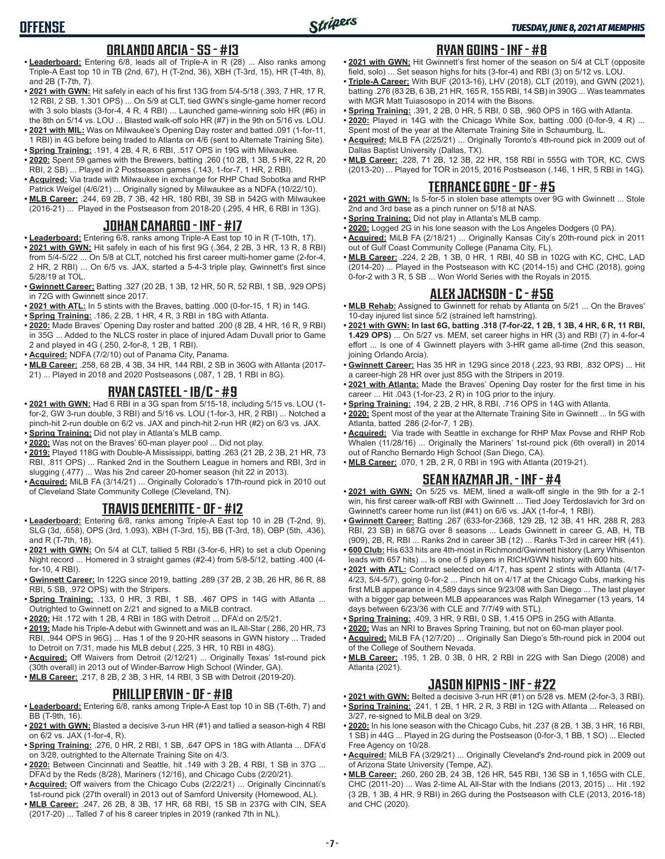# **OFFENSE**

#### **ORLANDO ARCIA - SS - #13**

- **• Leaderboard:** Entering 6/8, leads all of Triple-A in R (28) ... Also ranks among Triple-A East top 10 in TB (2nd, 67), H (T-2nd, 36), XBH (T-3rd, 15), HR (T-4th, 8), and 2B (T-7th, 7).
- **• 2021 with GWN:** Hit safely in each of his first 13G from 5/4-5/18 (.393, 7 HR, 17 R, 12 RBI, 2 SB, 1.301 OPS) ... On 5/9 at CLT, tied GWN's single-game homer record with 3 solo blasts (3-for-4, 4 R, 4 RBI) ... Launched game-winning solo HR (#6) in the 8th on 5/14 vs. LOU ... Blasted walk-off solo HR (#7) in the 9th on 5/16 vs. LOU.
- **• 2021 with MIL:** Was on Milwaukee's Opening Day roster and batted .091 (1-for-11, 1 RBI) in 4G before being traded to Atlanta on 4/6 (sent to Alternate Training Site).
- **• Spring Training:** .191, 4 2B, 4 R, 6 RBI, .517 OPS in 19G with Milwaukee. **• 2020:** Spent 59 games with the Brewers, batting .260 (10 2B, 1 3B, 5 HR, 22 R, 20 RBI, 2 SB) ... Played in 2 Postseason games (.143, 1-for-7, 1 HR, 2 RBI).
- **• Acquired:** Via trade with Milwaukee in exchange for RHP Chad Sobotka and RHP Patrick Weigel (4/6/21) ... Originally signed by Milwaukee as a NDFA (10/22/10).
- **• MLB Career:** .244, 69 2B, 7 3B, 42 HR, 180 RBI, 39 SB in 542G with Milwaukee (2016-21) ... Played in the Postseason from 2018-20 (.295, 4 HR, 6 RBI in 13G).

## **JOHAN CAMARGO - INF - #17**

- **• Leaderboard:** Entering 6/8, ranks among Triple-A East top 10 in R (T-10th, 17).
- **• 2021 with GWN:** Hit safely in each of his first 9G (.364, 2 2B, 3 HR, 13 R, 8 RBI) from 5/4-5/22 ... On 5/8 at CLT, notched his first career multi-homer game (2-for-4, 2 HR, 2 RBI) ... On 6/5 vs. JAX, started a 5-4-3 triple play, Gwinnett's first since 5/28/19 at TOL.
- **• Gwinnett Career:** Batting .327 (20 2B, 1 3B, 12 HR, 50 R, 52 RBI, 1 SB, .929 OPS) in 72G with Gwinnett since 2017.
- **• 2021 with ATL:** In 5 stints with the Braves, batting .000 (0-for-15, 1 R) in 14G.
- **• Spring Training:** .186, 2 2B, 1 HR, 4 R, 3 RBI in 18G with Atlanta.
- **• 2020:** Made Braves' Opening Day roster and batted .200 (8 2B, 4 HR, 16 R, 9 RBI) in 35G ... Added to the NLCS roster in place of injured Adam Duvall prior to Game 2 and played in 4G (.250, 2-for-8, 1 2B, 1 RBI).
- **• Acquired:** NDFA (7/2/10) out of Panama City, Panama.
- **• MLB Career:** .258, 68 2B, 4 3B, 34 HR, 144 RBI, 2 SB in 360G with Atlanta (2017- 21) ... Played in 2018 and 2020 Postseasons (.087, 1 2B, 1 RBI in 8G).

#### **RYAN CASTEEL - 1B/C - #9**

- **• 2021 with GWN:** Had 6 RBI in a 3G span from 5/15-18, including 5/15 vs. LOU (1 for-2, GW 3-run double, 3 RBI) and 5/16 vs. LOU (1-for-3, HR, 2 RBI) ... Notched a pinch-hit 2-run double on 6/2 vs. JAX and pinch-hit 2-run HR (#2) on 6/3 vs. JAX.
- **• Spring Training:** Did not play in Atlanta's MLB camp.
- **• 2020:** Was not on the Braves' 60-man player pool ... Did not play.
- **• 2019:** Played 118G with Double-A Mississippi, batting .263 (21 2B, 2 3B, 21 HR, 73 RBI, .811 OPS) ... Ranked 2nd in the Southern League in homers and RBI, 3rd in slugging (.477) ... Was his 2nd career 20-homer season (hit 22 in 2013).
- **• Acquired:** MiLB FA (3/14/21) ... Originally Colorado's 17th-round pick in 2010 out of Cleveland State Community College (Cleveland, TN).

# **TRAVIS DEMERITTE - OF - #12**

- **• Leaderboard:** Entering 6/8, ranks among Triple-A East top 10 in 2B (T-2nd, 9), SLG (3d, .658), OPS (3rd, 1.093), XBH (T-3rd, 15), BB (T-3rd, 18), OBP (5th, .436), and R (T-7th, 18).
- **• 2021 with GWN:** On 5/4 at CLT, tallied 5 RBI (3-for-6, HR) to set a club Opening Night record ... Homered in 3 straight games (#2-4) from 5/8-5/12, batting .400 (4 for-10, 4 RBI).
- **• Gwinnett Career:** In 122G since 2019, batting .289 (37 2B, 2 3B, 26 HR, 86 R, 88 RBI, 5 SB, .972 OPS) with the Stripers.
- **• Spring Training:** .133, 0 HR, 3 RBI, 1 SB, .467 OPS in 14G with Atlanta ... Outrighted to Gwinnett on 2/21 and signed to a MiLB contract.
- **• 2020:** Hit .172 with 1 2B, 4 RBI in 18G with Detroit ... DFA'd on 2/5/21.
- **• 2019:** Made his Triple-A debut with Gwinnett and was an IL All-Star (.286, 20 HR, 73 RBI, .944 OPS in 96G) ... Has 1 of the 9 20-HR seasons in GWN history ... Traded to Detroit on 7/31, made his MLB debut (.225, 3 HR, 10 RBI in 48G).
- **• Acquired:** Off Waivers from Detroit (2/12/21) ... Originally Texas' 1st-round pick (30th overall) in 2013 out of Winder-Barrow High School (Winder, GA).
- **• MLB Career:** .217, 8 2B, 2 3B, 3 HR, 14 RBI, 3 SB with Detroit (2019-20).

#### **PHILLIP ERVIN - OF - #18**

- **• Leaderboard:** Entering 6/8, ranks among Triple-A East top 10 in SB (T-6th, 7) and BB (T-9th, 16).
- **• 2021 with GWN:** Blasted a decisive 3-run HR (#1) and tallied a season-high 4 RBI on 6/2 vs. JAX (1-for-4, R).
- **• Spring Training:** .276, 0 HR, 2 RBI, 1 SB, .647 OPS in 18G with Atlanta ... DFA'd on 3/28, outrighted to the Alternate Training Site on 4/3.
- **• 2020:** Between Cincinnati and Seattle, hit .149 with 3 2B, 4 RBI, 1 SB in 37G ... DFA'd by the Reds (8/28), Mariners (12/16), and Chicago Cubs (2/20/21).
- **• Acquired:** Off waivers from the Chicago Cubs (2/22/21) ... Originally Cincinnati's 1st-round pick (27th overall) in 2013 out of Samford University (Homewood, AL).
- **• MLB Career:** .247, 26 2B, 8 3B, 17 HR, 68 RBI, 15 SB in 237G with CIN, SEA (2017-20) ... Talled 7 of his 8 career triples in 2019 (ranked 7th in NL).

### **RYAN GOINS - INF - #8**

- **• 2021 with GWN:** Hit Gwinnett's first homer of the season on 5/4 at CLT (opposite field, solo) ... Set season highs for hits (3-for-4) and RBI (3) on 5/12 vs. LOU.
- **• Triple-A Career:** With BUF (2013-16), LHV (2018), CLT (2019), and GWN (2021), batting .276 (83 2B, 6 3B, 21 HR, 165 R, 155 RBI, 14 SB) in 390G ... Was teammates with MGR Matt Tuiasosopo in 2014 with the Bisons.
- **• Spring Training:** .391, 2 2B, 0 HR, 5 RBI, 0 SB, .960 OPS in 16G with Atlanta.
- **• 2020:** Played in 14G with the Chicago White Sox, batting .000 (0-for-9, 4 R) ... Spent most of the year at the Alternate Training Site in Schaumburg, IL.
- **• Acquired:** MiLB FA (2/25/21) ... Originally Toronto's 4th-round pick in 2009 out of Dallas Baptist University (Dallas, TX).
- **• MLB Career:** .228, 71 2B, 12 3B, 22 HR, 158 RBI in 555G with TOR, KC, CWS (2013-20) ... Played for TOR in 2015, 2016 Postseason (.146, 1 HR, 5 RBI in 14G).

#### **TERRANCE GORE - OF - #5**

- **• 2021 with GWN:** Is 5-for-5 in stolen base attempts over 9G with Gwinnett ... Stole 2nd and 3rd base as a pinch runner on 5/18 at NAS.
- **• Spring Training:** Did not play in Atlanta's MLB camp.
- **• 2020:** Logged 2G in his lone season with the Los Angeles Dodgers (0 PA).
- **• Acquired:** MiLB FA (2/18/21) ... Originally Kansas City's 20th-round pick in 2011 out of Gulf Coast Community College (Panama City, FL).
- **• MLB Career:** .224, 2 2B, 1 3B, 0 HR, 1 RBI, 40 SB in 102G with KC, CHC, LAD (2014-20) ... Played in the Postseason with KC (2014-15) and CHC (2018), going 0-for-2 with 3 R, 5 SB ... Won World Series with the Royals in 2015.

### **ALEX JACKSON - C - #56**

- **• MLB Rehab:** Assigned to Gwinnett for rehab by Atlanta on 5/21 ... On the Braves' 10-day injured list since 5/2 (strained left hamstring).
- **• 2021 with GWN: In last 6G, batting .318 (7-for-22, 1 2B, 1 3B, 4 HR, 6 R, 11 RBI, 1.429 OPS)** ... On 5/27 vs. MEM, set career highs in HR (3) and RBI (7) in 4-for-4 effort ... Is one of 4 Gwinnett players with 3-HR game all-time (2nd this season, joining Orlando Arcia).
- **• Gwinnett Career:** Has 35 HR in 129G since 2018 (.223, 93 RBI, .832 OPS) ... Hit a career-high 28 HR over just 85G with the Stripers in 2019.
- **• 2021 with Atlanta:** Made the Braves' Opening Day roster for the first time in his career ... Hit .043 (1-for-23, 2 R) in 10G prior to the injury.
- **• Spring Training:** .194, 2 2B, 2 HR, 8 RBI, .716 OPS in 14G with Atlanta.
- **• 2020:** Spent most of the year at the Alternate Training Site in Gwinnett ... In 5G with Atlanta, batted .286 (2-for-7, 1 2B).
- **• Acquired:** Via trade with Seattle in exchange for RHP Max Povse and RHP Rob Whalen (11/28/16) ... Originally the Mariners' 1st-round pick (6th overall) in 2014 out of Rancho Bernardo High School (San Diego, CA).
- **• MLB Career:** .070, 1 2B, 2 R, 0 RBI in 19G with Atlanta (2019-21).

#### **SEAN KAZMAR JR. - INF - #4**

- **• 2021 with GWN:** On 5/25 vs. MEM, lined a walk-off single in the 9th for a 2-1 win, his first career walk-off RBI with Gwinnett ... Tied Joey Terdoslavich for 3rd on Gwinnett's career home run list (#41) on 6/6 vs. JAX (1-for-4, 1 RBI).
- **• Gwinnett Career:** Batting .267 (633-for-2368, 129 2B, 12 3B, 41 HR, 288 R, 283 RBI, 23 SB) in 687G over 8 seasons ... Leads Gwinnett in career G, AB, H, TB (909), 2B, R, RBI ... Ranks 2nd in career 3B (12) ... Ranks T-3rd in career HR (41).
- **• 600 Club:** His 633 hits are 4th-most in Richmond/Gwinnett history (Larry Whisenton leads with 657 hits) ... Is one of 5 players in RICH/GWN history with 600 hits.
- **• 2021 with ATL:** Contract selected on 4/17, has spent 2 stints with Atlanta (4/17- 4/23, 5/4-5/7), going 0-for-2 ... Pinch hit on 4/17 at the Chicago Cubs, marking his first MLB appearance in 4,589 days since 9/23/08 with San Diego ... The last player with a bigger gap between MLB appearances was Ralph Winegarner (13 years, 14 days between 6/23/36 with CLE and 7/7/49 with STL).
- **• Spring Training:** .409, 3 HR, 9 RBI, 0 SB, 1.415 OPS in 25G with Atlanta.
- **• 2020:** Was an NRI to Braves Spring Training, but not on 60-man player pool.
- **• Acquired:** MiLB FA (12/7/20) ... Originally San Diego's 5th-round pick in 2004 out of the College of Southern Nevada.
- **• MLB Career:** .195, 1 2B, 0 3B, 0 HR, 2 RBI in 22G with San Diego (2008) and Atlanta (2021).

## **JASON KIPNIS - INF - #22**

- **• 2021 with GWN:** Belted a decisive 3-run HR (#1) on 5/28 vs. MEM (2-for-3, 3 RBI). **• Spring Training:** .241, 1 2B, 1 HR, 2 R, 3 RBI in 12G with Atlanta ... Released on
- 3/27, re-signed to MiLB deal on 3/29. **• 2020:** In his lone season with the Chicago Cubs, hit .237 (8 2B, 1 3B, 3 HR, 16 RBI,
- 1 SB) in 44G ... Played in 2G during the Postseason (0-for-3, 1 BB, 1 SO) ... Elected Free Agency on 10/28.
- **• Acquired:** MiLB FA (3/29/21) ... Originally Cleveland's 2nd-round pick in 2009 out of Arizona State University (Tempe, AZ).
- **• MLB Career:** .260, 260 2B, 24 3B, 126 HR, 545 RBI, 136 SB in 1,165G with CLE, CHC (2011-20) ... Was 2-time AL All-Star with the Indians (2013, 2015) ... Hit .192 (3 2B, 1 3B, 4 HR, 9 RBI) in 26G during the Postseason with CLE (2013, 2016-18) and CHC (2020).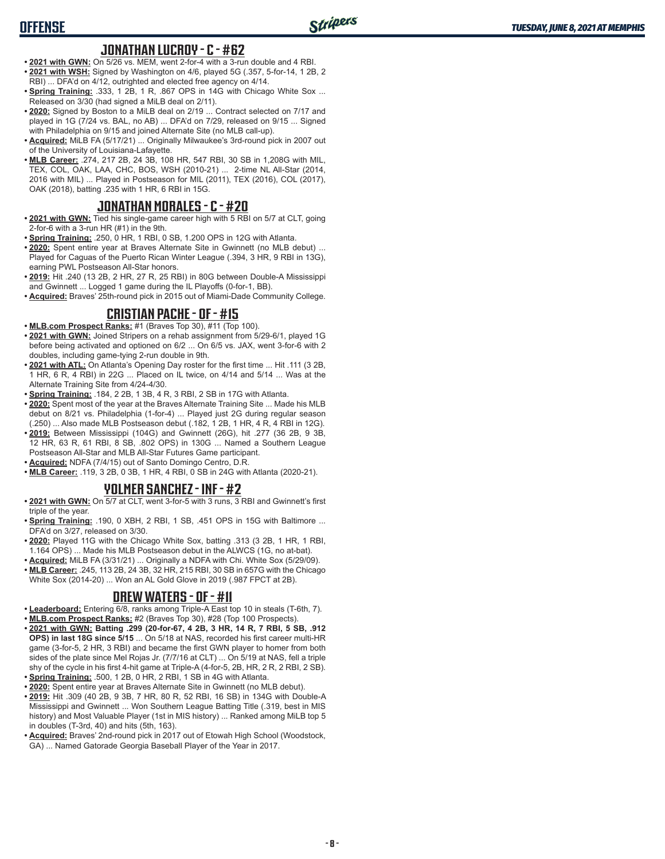# **OFFENSE**

#### **JONATHAN LUCROY - C - #62**

- **• 2021 with GWN:** On 5/26 vs. MEM, went 2-for-4 with a 3-run double and 4 RBI. **• 2021 with WSH:** Signed by Washington on 4/6, played 5G (.357, 5-for-14, 1 2B, 2 RBI) ... DFA'd on 4/12, outrighted and elected free agency on 4/14.
- **Spring Training: .333, 1 2B, 1 R, .867 OPS in 14G with Chicago White Sox ...** Released on 3/30 (had signed a MiLB deal on 2/11).
- **• 2020:** Signed by Boston to a MiLB deal on 2/19 ... Contract selected on 7/17 and played in 1G (7/24 vs. BAL, no AB) ... DFA'd on 7/29, released on 9/15 ... Signed with Philadelphia on 9/15 and joined Alternate Site (no MLB call-up).
- **• Acquired:** MiLB FA (5/17/21) ... Originally Milwaukee's 3rd-round pick in 2007 out of the University of Louisiana-Lafayette.
- **• MLB Career:** .274, 217 2B, 24 3B, 108 HR, 547 RBI, 30 SB in 1,208G with MIL, TEX, COL, OAK, LAA, CHC, BOS, WSH (2010-21) ... 2-time NL All-Star (2014, 2016 with MIL) ... Played in Postseason for MIL (2011), TEX (2016), COL (2017), OAK (2018), batting .235 with 1 HR, 6 RBI in 15G.

### **JONATHAN MORALES - C - #20**

- **• 2021 with GWN:** Tied his single-game career high with 5 RBI on 5/7 at CLT, going 2-for-6 with a 3-run HR (#1) in the 9th.
- **• Spring Training:** .250, 0 HR, 1 RBI, 0 SB, 1.200 OPS in 12G with Atlanta.
- **• 2020:** Spent entire year at Braves Alternate Site in Gwinnett (no MLB debut) ... Played for Caguas of the Puerto Rican Winter League (.394, 3 HR, 9 RBI in 13G), earning PWL Postseason All-Star honors.
- **• 2019:** Hit .240 (13 2B, 2 HR, 27 R, 25 RBI) in 80G between Double-A Mississippi and Gwinnett ... Logged 1 game during the IL Playoffs (0-for-1, BB).
- **• Acquired:** Braves' 25th-round pick in 2015 out of Miami-Dade Community College.

### **CRISTIAN PACHE - OF - #15**

- **• MLB.com Prospect Ranks:** #1 (Braves Top 30), #11 (Top 100).
- **• 2021 with GWN:** Joined Stripers on a rehab assignment from 5/29-6/1, played 1G before being activated and optioned on 6/2 ... On 6/5 vs. JAX, went 3-for-6 with 2 doubles, including game-tying 2-run double in 9th.
- **• 2021 with ATL:** On Atlanta's Opening Day roster for the first time ... Hit .111 (3 2B, 1 HR, 6 R, 4 RBI) in 22G ... Placed on IL twice, on 4/14 and 5/14 ... Was at the Alternate Training Site from 4/24-4/30.
- **• Spring Training:** .184, 2 2B, 1 3B, 4 R, 3 RBI, 2 SB in 17G with Atlanta.
- **• 2020:** Spent most of the year at the Braves Alternate Training Site ... Made his MLB debut on 8/21 vs. Philadelphia (1-for-4) ... Played just 2G during regular season (.250) ... Also made MLB Postseason debut (.182, 1 2B, 1 HR, 4 R, 4 RBI in 12G).
- **• 2019:** Between Mississippi (104G) and Gwinnett (26G), hit .277 (36 2B, 9 3B, 12 HR, 63 R, 61 RBI, 8 SB, .802 OPS) in 130G ... Named a Southern League Postseason All-Star and MLB All-Star Futures Game participant.
- **• Acquired:** NDFA (7/4/15) out of Santo Domingo Centro, D.R.
- **• MLB Career:** .119, 3 2B, 0 3B, 1 HR, 4 RBI, 0 SB in 24G with Atlanta (2020-21).

### **YOLMER SANCHEZ - INF - #2**

- **• 2021 with GWN:** On 5/7 at CLT, went 3-for-5 with 3 runs, 3 RBI and Gwinnett's first triple of the year.
- **• Spring Training:** .190, 0 XBH, 2 RBI, 1 SB, .451 OPS in 15G with Baltimore ... DFA'd on 3/27, released on 3/30.
- **• 2020:** Played 11G with the Chicago White Sox, batting .313 (3 2B, 1 HR, 1 RBI, 1.164 OPS) ... Made his MLB Postseason debut in the ALWCS (1G, no at-bat).
- **• Acquired:** MiLB FA (3/31/21) ... Originally a NDFA with Chi. White Sox (5/29/09). **• MLB Career:** .245, 113 2B, 24 3B, 32 HR, 215 RBI, 30 SB in 657G with the Chicago White Sox (2014-20) ... Won an AL Gold Glove in 2019 (.987 FPCT at 2B).

## **DREW WATERS - OF - #11**

- **• Leaderboard:** Entering 6/8, ranks among Triple-A East top 10 in steals (T-6th, 7). **• MLB.com Prospect Ranks:** #2 (Braves Top 30), #28 (Top 100 Prospects).
- **• 2021 with GWN: Batting .299 (20-for-67, 4 2B, 3 HR, 14 R, 7 RBI, 5 SB, .912 OPS) in last 18G since 5/15** ... On 5/18 at NAS, recorded his first career multi-HR game (3-for-5, 2 HR, 3 RBI) and became the first GWN player to homer from both sides of the plate since Mel Rojas Jr. (7/7/16 at CLT) ... On 5/19 at NAS, fell a triple shy of the cycle in his first 4-hit game at Triple-A (4-for-5, 2B, HR, 2 R, 2 RBI, 2 SB).
- **• Spring Training:** .500, 1 2B, 0 HR, 2 RBI, 1 SB in 4G with Atlanta.
- **• 2020:** Spent entire year at Braves Alternate Site in Gwinnett (no MLB debut).
- **• 2019:** Hit .309 (40 2B, 9 3B, 7 HR, 80 R, 52 RBI, 16 SB) in 134G with Double-A Mississippi and Gwinnett ... Won Southern League Batting Title (.319, best in MIS history) and Most Valuable Player (1st in MIS history) ... Ranked among MiLB top 5 in doubles (T-3rd, 40) and hits (5th, 163).
- **• Acquired:** Braves' 2nd-round pick in 2017 out of Etowah High School (Woodstock, GA) ... Named Gatorade Georgia Baseball Player of the Year in 2017.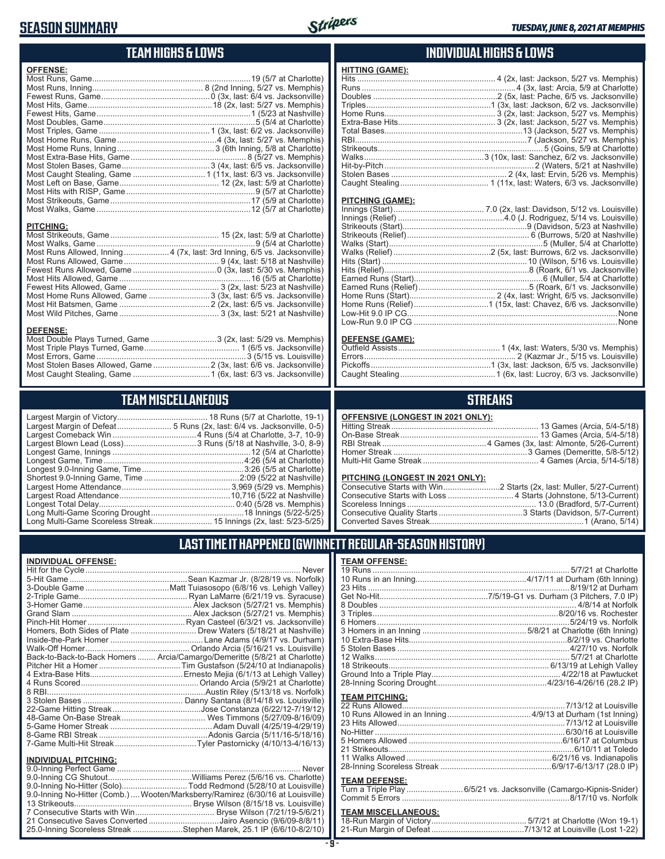# **SEASON SUMMARY**



# **TEAM HIGHS & LOWS**

| <b>OFFENSE:</b>  |  |
|------------------|--|
|                  |  |
|                  |  |
|                  |  |
|                  |  |
|                  |  |
|                  |  |
|                  |  |
|                  |  |
|                  |  |
|                  |  |
|                  |  |
|                  |  |
|                  |  |
|                  |  |
|                  |  |
|                  |  |
|                  |  |
| <b>PITCHING:</b> |  |
|                  |  |
|                  |  |

Most Runs Allowed, Inning....................4 (7x, last: 3rd Inning, 6/5 vs. Jacksonville) Most Runs Allowed, Game .......................................... 9 (4x, last: 5/18 at Nashville) Fewest Runs Allowed, Game .....................................0 (3x, last: 5/30 vs. Memphis) Most Hits Allowed, Game ..........................................................16 (5/5 at Charlotte) Fewest Hits Allowed, Game ........................................ 3 (2x, last: 5/23 at Nashville) Most Home Runs Allowed, Game ...........................3 (3x, last: 6/5 vs. Jacksonville) Most Hit Batsmen, Game ........................................2 (2x, last: 6/5 vs. Jacksonville) Most Wild Pitches, Game ............................................ 3 (3x, last: 5/21 at Nashville)

Most Double Plays Turned, Game .............................3 (2x, last: 5/29 vs. Memphis) Most Triple Plays Turned, Game .......................................... 1 (6/5 vs. Jacksonville) Most Errors, Game ..................................................................3 (5/15 vs. Louisville) Most Stolen Bases Allowed, Game .........................2 (3x, last: 6/6 vs. Jacksonville) Most Caught Stealing, Game ..................................1 (6x, last: 6/3 vs. Jacksonville)

**TEAM MISCELLANEOUS** Largest Margin of Victory........................................ 18 Runs (5/7 at Charlotte, 19-1) Largest Margin of Defeat........................ 5 Runs (2x, last: 6/4 vs. Jacksonville, 0-5) Largest Comeback Win .....................................4 Runs (5/4 at Charlotte, 3-7, 10-9) Largest Blown Lead (Loss) ................................3 Runs (5/18 at Nashville, 3-0, 8-9) Longest Game, Innings .............................................................12 (5/4 at Charlotte) Longest Game, Time ..............................................................4:26 (5/4 at Charlotte) Longest 9.0-Inning Game, Time .............................................3:26 (5/5 at Charlotte) Shortest 9.0-Inning Game, Time ..........................................2:09 (5/22 at Nashville) Largest Home Attendance ................................................ 3,969 (5/29 vs. Memphis) Largest Road Attendance .................................................10,716 (5/22 at Nashville)

# **INDIVIDUAL HIGHS & LOWS**

| <b>HITTING (GAME):</b> |  |
|------------------------|--|
|                        |  |
|                        |  |
|                        |  |
|                        |  |
|                        |  |
|                        |  |
|                        |  |
|                        |  |
|                        |  |
|                        |  |
|                        |  |
|                        |  |
|                        |  |

#### **PITCHING (GAME):**

| Low-Run 9.0 IP CG …………………………………………………………………………………None |
|-------------------------------------------------------|

#### **DEFENSE (GAME):**

#### **STREAKS**

#### **PITCHING (LONGEST IN 2021 ONLY):**

#### **LAST TIME IT HAPPENED (GWINNETT REGULAR-SEASON HISTORY)**

| <b>TEAM OFFENSE:</b>  |  |
|-----------------------|--|
|                       |  |
|                       |  |
|                       |  |
|                       |  |
|                       |  |
|                       |  |
|                       |  |
|                       |  |
|                       |  |
|                       |  |
|                       |  |
|                       |  |
|                       |  |
|                       |  |
|                       |  |
| <b>TEAM PITCHING:</b> |  |
|                       |  |
|                       |  |
|                       |  |
|                       |  |
|                       |  |
|                       |  |
|                       |  |
|                       |  |
|                       |  |
| <b>TEAM DECENCE.</b>  |  |

#### **TEAM DEFENSE:**

| Turn a Triple Play 6/5/21 vs. Jacksonville (Camargo-Kipnis-Snider) |  |
|--------------------------------------------------------------------|--|
|                                                                    |  |

# **TEAM MISCELLANEOUS:**<br>18-Run Margin of Victory....

#### Longest Total Delay............................................................ 0:40 (5/28 vs. Memphis) Long Multi-Game Scoring Drought .........................................18 Innings (5/22-5/25) Long Multi-Game Scoreless Streak .......................... 15 Innings (2x, last: 5/23-5/25)

**DEFENSE:**

#### **INDIVIDUAL OFFENSE:**

|                                                        | Homers, Both Sides of Plate  Drew Waters (5/18/21 at Nashville)            |
|--------------------------------------------------------|----------------------------------------------------------------------------|
|                                                        |                                                                            |
|                                                        |                                                                            |
|                                                        | Back-to-Back-to-Back Homers  Arcia/Camargo/Demeritte (5/8/21 at Charlotte) |
|                                                        |                                                                            |
|                                                        |                                                                            |
|                                                        |                                                                            |
|                                                        |                                                                            |
|                                                        |                                                                            |
|                                                        |                                                                            |
|                                                        |                                                                            |
|                                                        |                                                                            |
|                                                        |                                                                            |
|                                                        |                                                                            |
|                                                        |                                                                            |
| <b>INDIVIDUAL PITCHING:</b><br>9 0-Inning Perfect Game | Never                                                                      |
|                                                        |                                                                            |

| 9.0-Inning No-Hitter (Solo)Todd Redmond (5/28/10 at Louisville)                 |  |
|---------------------------------------------------------------------------------|--|
| 9.0-Inning No-Hitter (Comb.)  Wooten/Marksberry/Ramirez (6/30/16 at Louisville) |  |
|                                                                                 |  |
|                                                                                 |  |
| 21 Consecutive Saves Converted Jairo Asencio (9/6/09-8/8/11)                    |  |
| 25.0-Inning Scoreless Streak Stephen Marek, 25.1 IP (6/6/10-8/2/10)             |  |